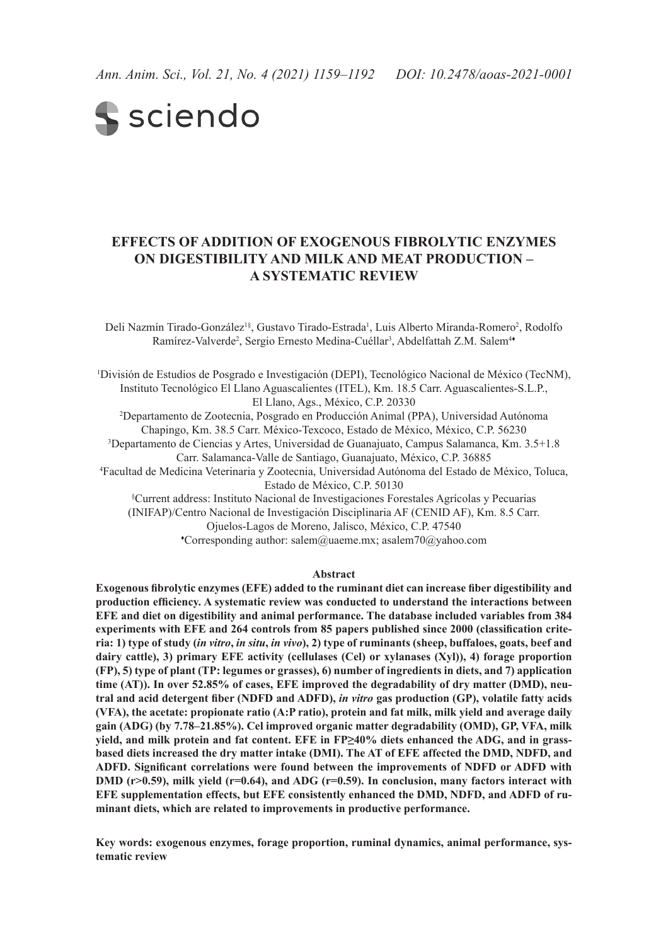# **S** sciendo

# **Effects of addition of exogenous fibrolytic enzymes on digestibility and milk and meat production – a systematic review**

Deli Nazmín Tirado-González<sup>1§</sup>, Gustavo Tirado-Estrada<sup>1</sup>, Luis Alberto Miranda-Romero<sup>2</sup>, Rodolfo Ramírez-Valverde<sup>2</sup>, Sergio Ernesto Medina-Cuéllar<sup>3</sup>, Abdelfattah Z.M. Salem<sup>44</sup>

1 División de Estudios de Posgrado e Investigación (DEPI), Tecnológico Nacional de México (TecNM), Instituto Tecnológico El Llano Aguascalientes (ITEL), Km. 18.5 Carr. Aguascalientes-S.L.P., El Llano, Ags., México, C.P. 20330

2 Departamento de Zootecnia, Posgrado en Producción Animal (PPA), Universidad Autónoma Chapingo, Km. 38.5 Carr. México-Texcoco, Estado de México, México, C.P. 56230

3 Departamento de Ciencias y Artes, Universidad de Guanajuato, Campus Salamanca, Km. 3.5+1.8 Carr. Salamanca-Valle de Santiago, Guanajuato, México, C.P. 36885

4 Facultad de Medicina Veterinaria y Zootecnia, Universidad Autónoma del Estado de México, Toluca, Estado de México, C.P. 50130

§ Current address: Instituto Nacional de Investigaciones Forestales Agrícolas y Pecuarias (INIFAP)/Centro Nacional de Investigación Disciplinaria AF (CENID AF), Km. 8.5 Carr. Ojuelos-Lagos de Moreno, Jalisco, México, C.P. 47540 ♦ Corresponding author: salem@uaeme.mx; asalem70@yahoo.com

#### **Abstract**

**Exogenous fibrolytic enzymes (EFE) added to the ruminant diet can increase fiber digestibility and production efficiency. A systematic review was conducted to understand the interactions between EFE and diet on digestibility and animal performance. The database included variables from 384 experiments with EFE and 264 controls from 85 papers published since 2000 (classification criteria: 1) type of study (***in vitro***,** *in situ***,** *in vivo***), 2) type of ruminants (sheep, buffaloes, goats, beef and dairy cattle), 3) primary EFE activity (cellulases (Cel) or xylanases (Xyl)), 4) forage proportion (FP), 5) type of plant (TP: legumes or grasses), 6) number of ingredients in diets, and 7) application time (AT)). In over 52.85% of cases, EFE improved the degradability of dry matter (DMD), neutral and acid detergent fiber (NDFD and ADFD),** *in vitro* **gas production (GP), volatile fatty acids (VFA), the acetate: propionate ratio (A:P ratio), protein and fat milk, milk yield and average daily gain (ADG) (by 7.78–21.85%). Cel improved organic matter degradability (OMD), GP, VFA, milk yield, and milk protein and fat content. EFE in FP≥40% diets enhanced the ADG, and in grassbased diets increased the dry matter intake (DMI). The AT of EFE affected the DMD, NDFD, and ADFD. Significant correlations were found between the improvements of NDFD or ADFD with DMD (r>0.59), milk yield (r=0.64), and ADG (r=0.59). In conclusion, many factors interact with EFE supplementation effects, but EFE consistently enhanced the DMD, NDFD, and ADFD of ruminant diets, which are related to improvements in productive performance.** 

**Key words: exogenous enzymes, forage proportion, ruminal dynamics, animal performance, systematic review**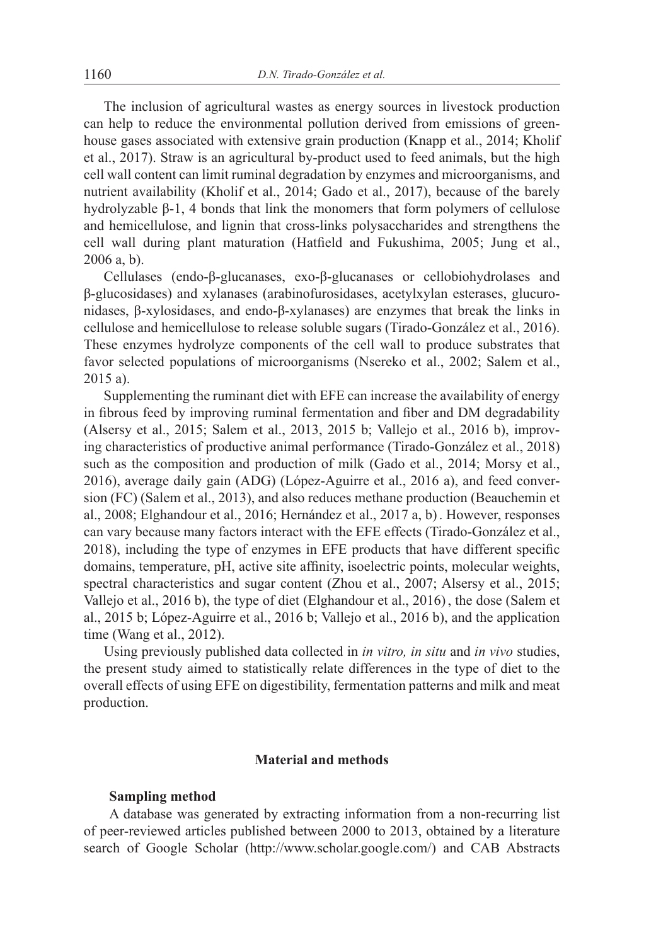The inclusion of agricultural wastes as energy sources in livestock production can help to reduce the environmental pollution derived from emissions of greenhouse gases associated with extensive grain production (Knapp et al., 2014; Kholif et al., 2017). Straw is an agricultural by-product used to feed animals, but the high cell wall content can limit ruminal degradation by enzymes and microorganisms, and nutrient availability (Kholif et al., 2014; Gado et al., 2017), because of the barely hydrolyzable β-1, 4 bonds that link the monomers that form polymers of cellulose and hemicellulose, and lignin that cross-links polysaccharides and strengthens the cell wall during plant maturation (Hatfield and Fukushima, 2005; Jung et al., 2006 a, b).

Cellulases (endo-β-glucanases, exo-β-glucanases or cellobiohydrolases and β-glucosidases) and xylanases (arabinofurosidases, acetylxylan esterases, glucuronidases, β-xylosidases, and endo-β-xylanases) are enzymes that break the links in cellulose and hemicellulose to release soluble sugars (Tirado-González et al., 2016). These enzymes hydrolyze components of the cell wall to produce substrates that favor selected populations of microorganisms (Nsereko et al., 2002; Salem et al., 2015 a).

Supplementing the ruminant diet with EFE can increase the availability of energy in fibrous feed by improving ruminal fermentation and fiber and DM degradability (Alsersy et al., 2015; Salem et al., 2013, 2015 b; Vallejo et al., 2016 b), improving characteristics of productive animal performance (Tirado-González et al., 2018) such as the composition and production of milk (Gado et al., 2014; Morsy et al., 2016), average daily gain (ADG) (López-Aguirre et al., 2016 a), and feed conversion (FC) (Salem et al., 2013), and also reduces methane production (Beauchemin et al., 2008; Elghandour et al., 2016; Hernández et al., 2017 a, b). However, responses can vary because many factors interact with the EFE effects (Tirado-González et al., 2018), including the type of enzymes in EFE products that have different specific domains, temperature, pH, active site affinity, isoelectric points, molecular weights, spectral characteristics and sugar content (Zhou et al., 2007; Alsersy et al., 2015; Vallejo et al., 2016 b), the type of diet (Elghandour et al., 2016), the dose (Salem et al., 2015 b; López-Aguirre et al., 2016 b; Vallejo et al., 2016 b), and the application time (Wang et al., 2012).

Using previously published data collected in *in vitro, in situ* and *in vivo* studies, the present study aimed to statistically relate differences in the type of diet to the overall effects of using EFE on digestibility, fermentation patterns and milk and meat production.

# **Material and methods**

# **Sampling method**

A database was generated by extracting information from a non-recurring list of peer-reviewed articles published between 2000 to 2013, obtained by a literature search of Google Scholar (http://www.scholar.google.com/) and CAB Abstracts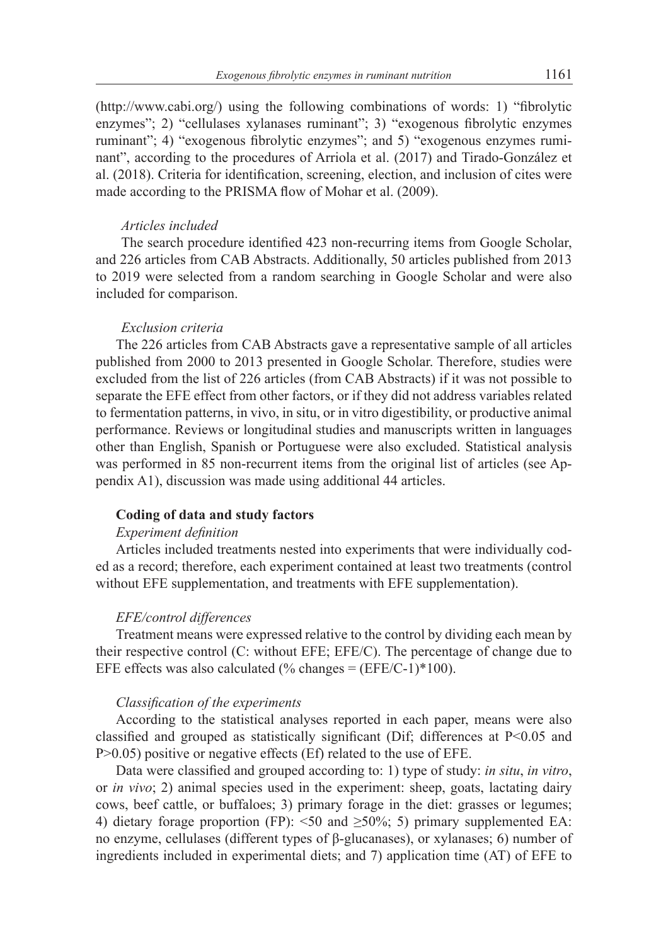(http://www.cabi.org/) using the following combinations of words: 1) "fibrolytic enzymes"; 2) "cellulases xylanases ruminant"; 3) "exogenous fibrolytic enzymes ruminant"; 4) "exogenous fibrolytic enzymes"; and 5) "exogenous enzymes ruminant", according to the procedures of Arriola et al. (2017) and Tirado-González et al. (2018). Criteria for identification, screening, election, and inclusion of cites were made according to the PRISMA flow of Mohar et al. (2009).

#### *Articles included*

The search procedure identified 423 non-recurring items from Google Scholar, and 226 articles from CAB Abstracts. Additionally, 50 articles published from 2013 to 2019 were selected from a random searching in Google Scholar and were also included for comparison.

#### *Exclusion criteria*

The 226 articles from CAB Abstracts gave a representative sample of all articles published from 2000 to 2013 presented in Google Scholar. Therefore, studies were excluded from the list of 226 articles (from CAB Abstracts) if it was not possible to separate the EFE effect from other factors, or if they did not address variables related to fermentation patterns, in vivo, in situ, or in vitro digestibility, or productive animal performance. Reviews or longitudinal studies and manuscripts written in languages other than English, Spanish or Portuguese were also excluded. Statistical analysis was performed in 85 non-recurrent items from the original list of articles (see Appendix A1), discussion was made using additional 44 articles.

#### **Coding of data and study factors**

# *Experiment definition*

Articles included treatments nested into experiments that were individually coded as a record; therefore, each experiment contained at least two treatments (control without EFE supplementation, and treatments with EFE supplementation).

#### *EFE/control differences*

Treatment means were expressed relative to the control by dividing each mean by their respective control (C: without EFE; EFE/C). The percentage of change due to EFE effects was also calculated (% changes =  $(EFE/C-1)*100$ ).

#### *Classification of the experiments*

According to the statistical analyses reported in each paper, means were also classified and grouped as statistically significant (Dif; differences at P<0.05 and P>0.05) positive or negative effects (Ef) related to the use of EFE.

Data were classified and grouped according to: 1) type of study: *in situ*, *in vitro*, or *in vivo*; 2) animal species used in the experiment: sheep, goats, lactating dairy cows, beef cattle, or buffaloes; 3) primary forage in the diet: grasses or legumes; 4) dietary forage proportion (FP):  $\leq 50$  and  $\geq 50\%$ ; 5) primary supplemented EA: no enzyme, cellulases (different types of β-glucanases), or xylanases; 6) number of ingredients included in experimental diets; and 7) application time (AT) of EFE to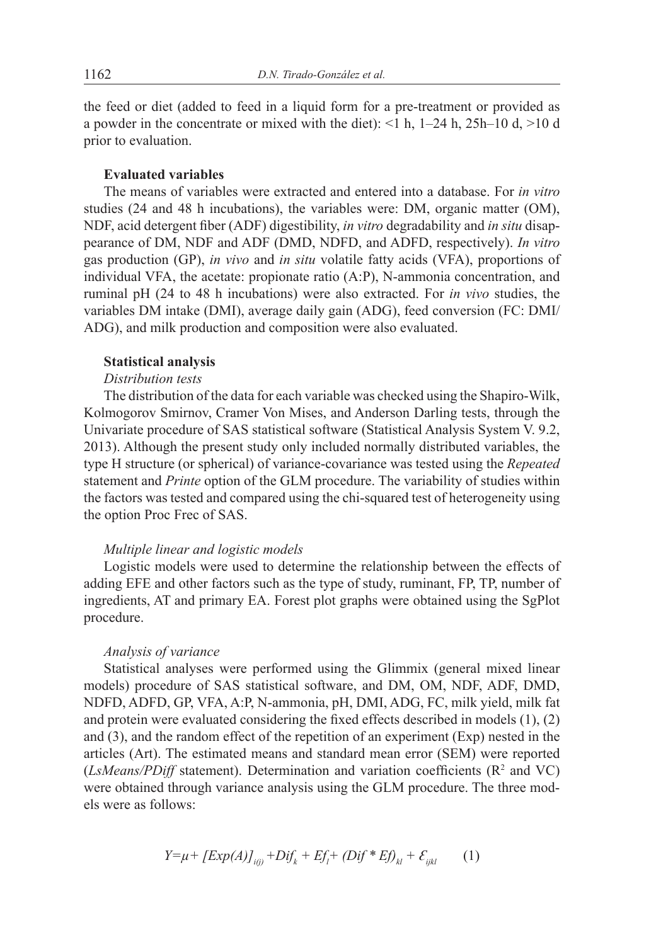the feed or diet (added to feed in a liquid form for a pre-treatment or provided as a powder in the concentrate or mixed with the diet):  $\leq 1$  h, 1–24 h, 25h–10 d,  $>10$  d prior to evaluation.

# **Evaluated variables**

The means of variables were extracted and entered into a database. For *in vitro*  studies (24 and 48 h incubations), the variables were: DM, organic matter (OM), NDF, acid detergent fiber (ADF) digestibility, *in vitro* degradability and *in situ* disappearance of DM, NDF and ADF (DMD, NDFD, and ADFD, respectively). *In vitro* gas production (GP), *in vivo* and *in situ* volatile fatty acids (VFA), proportions of individual VFA, the acetate: propionate ratio (A:P), N-ammonia concentration, and ruminal pH (24 to 48 h incubations) were also extracted. For *in vivo* studies, the variables DM intake (DMI), average daily gain (ADG), feed conversion (FC: DMI/ ADG), and milk production and composition were also evaluated.

### **Statistical analysis**

# *Distribution tests*

The distribution of the data for each variable was checked using the Shapiro-Wilk, Kolmogorov Smirnov, Cramer Von Mises, and Anderson Darling tests, through the Univariate procedure of SAS statistical software (Statistical Analysis System V. 9.2, 2013). Although the present study only included normally distributed variables, the type H structure (or spherical) of variance-covariance was tested using the *Repeated* statement and *Printe* option of the GLM procedure. The variability of studies within the factors was tested and compared using the chi-squared test of heterogeneity using the option Proc Frec of SAS.

### *Multiple linear and logistic models*

Logistic models were used to determine the relationship between the effects of adding EFE and other factors such as the type of study, ruminant, FP, TP, number of ingredients, AT and primary EA. Forest plot graphs were obtained using the SgPlot procedure.

# *Analysis of variance*

Statistical analyses were performed using the Glimmix (general mixed linear models) procedure of SAS statistical software, and DM, OM, NDF, ADF, DMD, NDFD, ADFD, GP, VFA, A:P, N-ammonia, pH, DMI, ADG, FC, milk yield, milk fat and protein were evaluated considering the fixed effects described in models (1), (2) and (3), and the random effect of the repetition of an experiment (Exp) nested in the articles (Art). The estimated means and standard mean error (SEM) were reported  $(LsMeans/PDiff$  statement). Determination and variation coefficients  $(R<sup>2</sup>$  and VC) were obtained through variance analysis using the GLM procedure. The three models were as follows:

$$
Y = \mu + [Exp(A)]_{i(j)} + Dif_k + Ef_l + (Dif^*Ef)_{kl} + \mathcal{E}_{ijkl}
$$
 (1)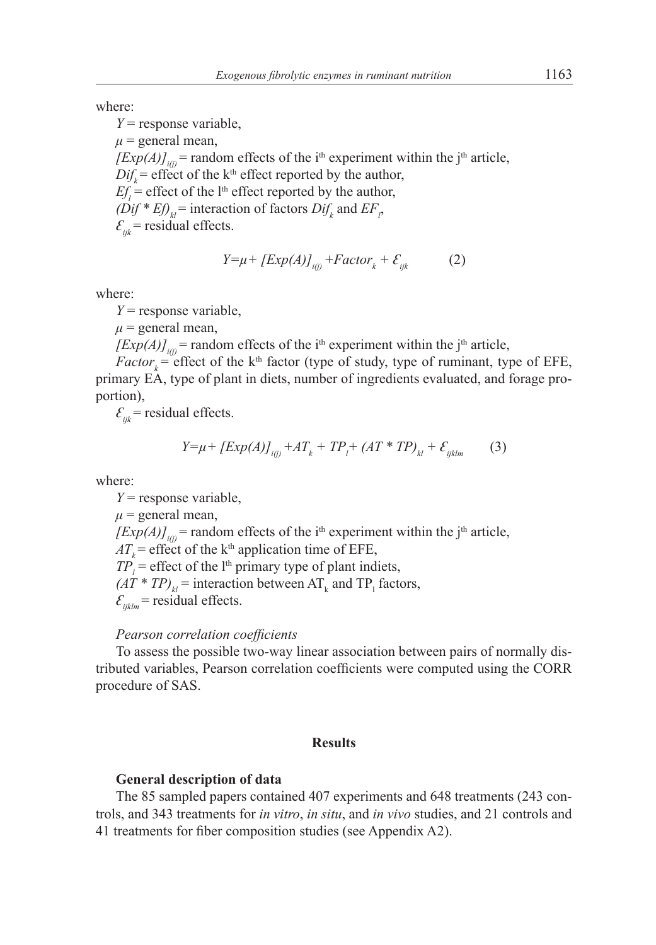where:

*Y* = response variable,  $\mu$  = general mean,  $[Exp(A)]_{ij}$  = random effects of the i<sup>th</sup> experiment within the j<sup>th</sup> article,  $Dif<sub>k</sub>$  = effect of the k<sup>th</sup> effect reported by the author,  $Ef_i$  = effect of the l<sup>th</sup> effect reported by the author,  $(Dif * E f)_{kl}$  = interaction of factors  $Dif_k$  and  $EF_p$ ,  $\mathcal{E}_{ijk}$  = residual effects.

$$
Y = \mu + [Exp(A)]_{i(j)} + Factor_k + \mathcal{E}_{ijk}
$$
 (2)

where:

*Y* = response variable,

 $\mu$  = general mean,

 $[Exp(A)]_{ij}$  = random effects of the i<sup>th</sup> experiment within the j<sup>th</sup> article,

 $Factor_k = \text{effect of the } k^{\text{th}}$  factor (type of study, type of ruminant, type of EFE, primary EA, type of plant in diets, number of ingredients evaluated, and forage proportion),

 $\mathcal{E}_{ijk}$  = residual effects.

$$
Y = \mu + [Exp(A)]_{i(j)} + AT_k + TP_l + (AT * TP)_{kl} + \mathcal{E}_{ijklm} \tag{3}
$$

where:

*Y* = response variable,  $\mu$  = general mean,  $[Exp(A)]_{ii}$  = random effects of the i<sup>th</sup> experiment within the j<sup>th</sup> article,  $AT<sub>k</sub>$  = effect of the k<sup>th</sup> application time of EFE,  $TP<sub>i</sub>$  = effect of the l<sup>th</sup> primary type of plant indiets,  $(AT * TP)_{kl}$  = interaction between  $AT_k$  and  $TP_l$  factors,  $\mathcal{E}_{ijklm}$  = residual effects.

# *Pearson correlation coefficients*

To assess the possible two-way linear association between pairs of normally distributed variables, Pearson correlation coefficients were computed using the CORR procedure of SAS.

#### **Results**

### **General description of data**

The 85 sampled papers contained 407 experiments and 648 treatments (243 controls, and 343 treatments for *in vitro*, *in situ*, and *in vivo* studies, and 21 controls and 41 treatments for fiber composition studies (see Appendix A2).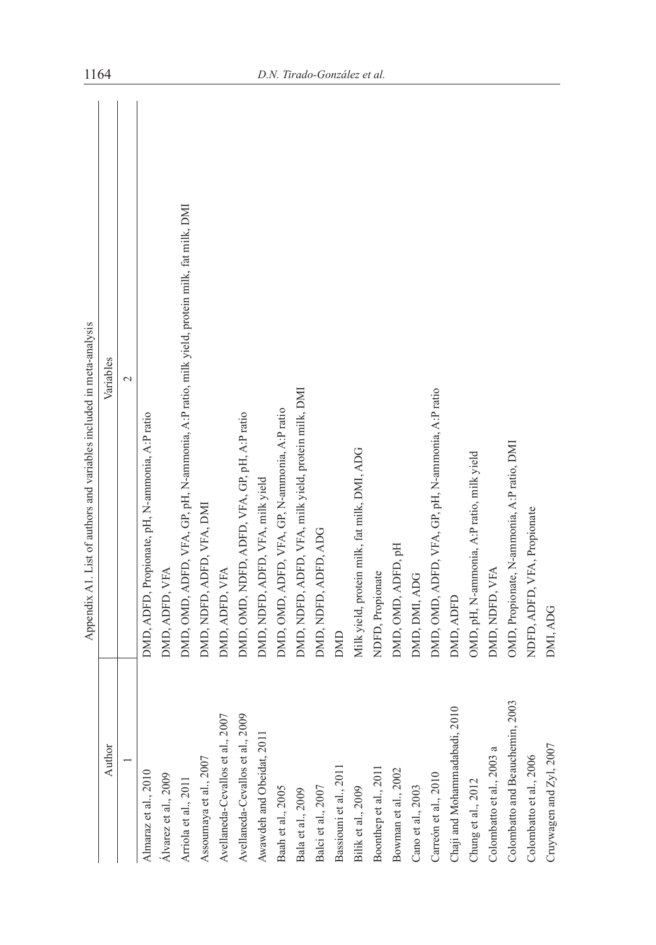| ۱<br>l                             |
|------------------------------------|
| Ï                                  |
|                                    |
|                                    |
| and and other<br>l<br>í            |
| i<br>l                             |
|                                    |
|                                    |
| í<br>$\overline{\phantom{a}}$<br>í |
|                                    |
| ı                                  |
|                                    |
| l                                  |
| l                                  |
|                                    |
|                                    |
|                                    |
| ì                                  |
| l                                  |
| l                                  |
| I<br>l                             |
|                                    |
|                                    |
| l                                  |
|                                    |
| ţ<br>֕<br>l                        |
|                                    |
|                                    |
|                                    |
|                                    |
|                                    |
|                                    |
|                                    |
| l                                  |
|                                    |

ysis

| Author                                     | Variables                                                                                  |
|--------------------------------------------|--------------------------------------------------------------------------------------------|
|                                            | $\overline{\mathcal{C}}$                                                                   |
| Almaraz et al., 2010                       | DMD, ADFD, Propionate, pH, N-ammonia, A:P ratio                                            |
| Álvarez et al., 2009                       | DMD, ADFD, VFA                                                                             |
| Arriola et al., 2011                       | DMD, OMD, ADFD, VFA, GP, pH, N-ammonia, A:P ratio, milk yield, protein milk, fat milk, DMI |
| Assoumaya et al., 2007                     | DMD, NDFD, ADFD, VFA, DMI                                                                  |
| Avellaneda-Cevallos et al., 2007           | DMD, ADFD, VFA                                                                             |
| $\infty$<br>Avellaneda-Cevallos et al., 20 | DMD, OMD, NDFD, ADFD, VFA, GP, pH, A:P ratio                                               |
| Awawdeh and Obeidat, 2011                  | DMD, NDFD, ADFD, VFA, milk yield                                                           |
| Baah et al., 2005                          | DMD, OMD, ADFD, VFA, GP, N-ammonia, A:P ratio                                              |
| Bala et al., 2009                          | DMD, NDFD, ADFD, VFA, milk yield, protein milk, DMI                                        |
| Balci et al., 2007                         | DMD, NDFD, ADFD, ADG                                                                       |
| Bassiouni et al., 2011                     | DMD                                                                                        |
| Bilik et al., 2009                         | Milk yield, protein milk, fat milk, DMI, ADG                                               |
| Boonthep et al., 2011                      | NDFD, Propionate                                                                           |
| Bowman et al., 2002                        | DMD, OMD, ADFD, pH                                                                         |
| Cano et al., 2003                          | DMD, DMI, ADG                                                                              |
| Carreón et al., 2010                       | DMD, OMD, ADFD, VFA, GP, pH, N-ammonia, A:P ratio                                          |
| Chaji and Mohammadabadi, 2010              | DMD, ADFD                                                                                  |
| Chung et al., 2012                         | OMD, pH, N-ammonia, A:P ratio, milk yield                                                  |
| Colombatto et al., 2003 a                  | DMD, NDFD, VFA                                                                             |
| 2003<br>Colombatto and Beauchemin,         | OMD, Propionate, N-ammonia, A:P ratio, DMI                                                 |
| Colombatto et al., 2006                    | NDFD, ADFD, VFA, Propionate                                                                |
| Cruywagen and Zyl, 2007                    | DMI, ADG                                                                                   |
|                                            |                                                                                            |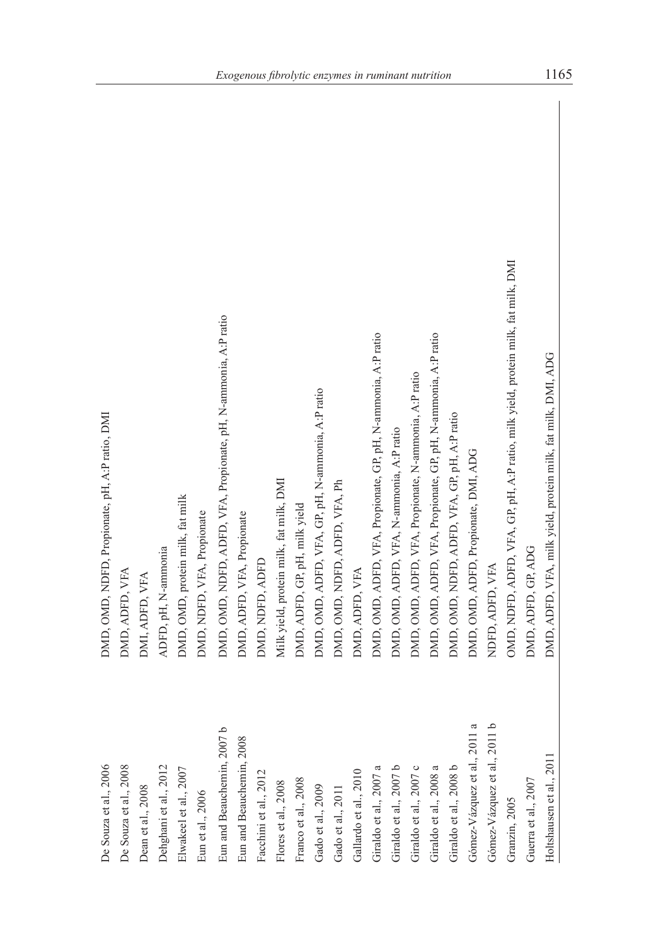| De Souza et al., 2006                        | DMD, OMD, NDFD, Propionate, pH, A:P ratio, DMI                                   |
|----------------------------------------------|----------------------------------------------------------------------------------|
| De Souza et al., 2008                        | DMD, ADFD, VFA                                                                   |
| Dean et al., 2008                            | DMI, ADFD, VFA                                                                   |
| Dehghani et al., 2012                        | ADFD, pH, N-ammonia                                                              |
| Elwakeel et al., 2007                        | DMD, OMD, protein milk, fat milk                                                 |
| $\rm{Eun}$ et al., 2006                      | DMD, NDFD, VFA, Propionate                                                       |
| م<br>Eun and Beauchemin, 2007                | DMD, OMD, NDFD, ADFD, VFA, Propionate, pH, N-ammonia, A:P ratio                  |
| Eun and Beauchemin, 2008                     | DMD, ADFD, VFA, Propionate                                                       |
| Facchini et al., 2012                        | DMD, NDFD, ADFD                                                                  |
| Flores et al., 2008                          | Milk yield, protein milk, fat milk, DMI                                          |
| Franco et al., 2008                          | DMD, ADFD, GP, pH, milk yield                                                    |
| Gado et al., 2009                            | DMD, OMD, ADFD, VFA, GP, pH, N-ammonia, A:P ratio                                |
| Gado et al., 2011                            | DMD, OMD, NDFD, ADFD, VFA, Ph                                                    |
| Gallardo et al., 2010                        | DMD, ADFD, VFA                                                                   |
| Giraldo et al., 2007 a                       | DMD, OMD, ADFD, VFA, Propionate, GP, pH, N-ammonia, A:P ratio                    |
| Giraldo et al., 2007 b                       | DMD, OMD, ADFD, VFA, N-ammonia, A:P ratio                                        |
| Giraldo et al., 2007 $\ensuremath{\text{c}}$ | DMD, OMD, ADFD, VFA, Propionate, N-ammonia, A:P ratio                            |
| Giraldo et al., $2008~\mathrm{a}$            | DMD, OMD, ADFD, VFA, Propionate, GP, pH, N-ammonia, A:P ratio                    |
| Giraldo et al., 2008 b                       | DMD, OMD, NDFD, ADFD, VFA, GP, pH, A:P ratio                                     |
| Gómez-Vázquez et al., 2011 a                 | DMD, OMD, ADFD, Propionate, DMI, ADG                                             |
| Gómez-Vázquez et al., 2011 b                 | NDFD, ADFD, VFA                                                                  |
| Granzin, 2005                                | OMD, NDFD, ADFD, VFA, GP, pH, A:P ratio, milk yield, protein milk, fat milk, DMI |
| Guerra et al., 2007                          | DMD, ADFD, GP, ADG                                                               |
| Holtshausen et al., 2011                     | DMD, ADFD, VFA, milk yield, protein milk, fat milk, DMI, ADG                     |
|                                              |                                                                                  |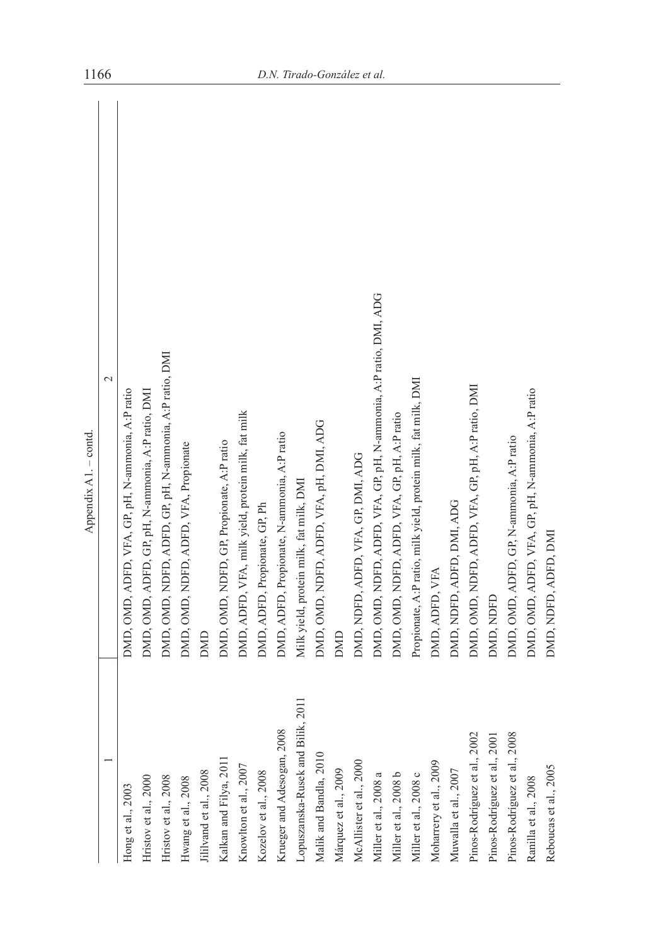| ٦ |
|---|
| t |
|   |
|   |
|   |
|   |
|   |
|   |
|   |
|   |

 $\sim$ 

|                                   | $\mathbf{\sim}$                                                   |
|-----------------------------------|-------------------------------------------------------------------|
| Hong et al., 2003                 | DMD, OMD, ADFD, VFA, GP, pH, N-ammonia, A:P ratio                 |
| Hristov et al., 2000              | DMD, OMD, ADFD, GP, pH, N-ammonia, A:P ratio, DMI                 |
| Hristov et al., 2008              | DMD, OMD, NDFD, ADFD, GP, pH, N-ammonia, A:P ratio, DMI           |
| Hwang et al., 2008                | DMD, OMD, NDFD, ADFD, VFA, Propionate                             |
| ililvand et al., 2008             | DMD                                                               |
| Kalkan and Filya, 2011            | DMD, OMD, NDFD, GP, Propionate, A:P ratio                         |
| Knowlton et al., 2007             | DMD, ADFD, VFA, milk yield, protein milk, fat milk                |
| Kozelov et al., 2008              | DMD, ADFD, Propionate, GP, Ph                                     |
| Krueger and Adesogan, 2008        | DMD, ADFD, Propionate, N-ammonia, A:P ratio                       |
| opuszanska-Rusek and Bilik, 2011. | Milk yield, protein milk, fat milk, DMI                           |
| Malik and Bandla, 2010            | DMD, OMD, NDFD, ADFD, VFA, pH, DMI, ADG                           |
| Márquez et al., 2009              | DMD                                                               |
| McAllister et al., 2000           | DMD, NDFD, ADFD, VFA, GP, DMI, ADG                                |
| Miller et al., 2008 a             | DMD, OMD, NDFD, ADFD, VFA, GP, pH, N-ammonia, A:P ratio, DMI, ADG |
| Miller et al., 2008 b             | DMD, OMD, NDFD, ADFD, VFA, GP, pH, A:P ratio                      |
| Miller et al., 2008 c             | Propionate, A:P ratio, milk yield, protein milk, fat milk, DMI    |
| Moharrery et al., 2009            | DMD, ADFD, VFA                                                    |
| Muwalla et al., 2007              | DMD, NDFD, ADFD, DMI, ADG                                         |
| Pinos-Rodríguez et al., 2002      | DMD, OMD, NDFD, ADFD, VFA, GP, pH, A:P ratio, DMI                 |
| Pinos-Rodríguez et al., 2001      | DMD, NDFD                                                         |
| Pinos-Rodríguez et al., 2008      | DMD, OMD, ADFD, GP, N-ammonia, A:P ratio                          |
| Ranilla et al., 2008              | DMD, OMD, ADFD, VFA, GP, pH, N-ammonia, A:P ratio                 |
| Reboucas et al., 2005             | DMD, NDFD, ADFD, DMI                                              |
|                                   |                                                                   |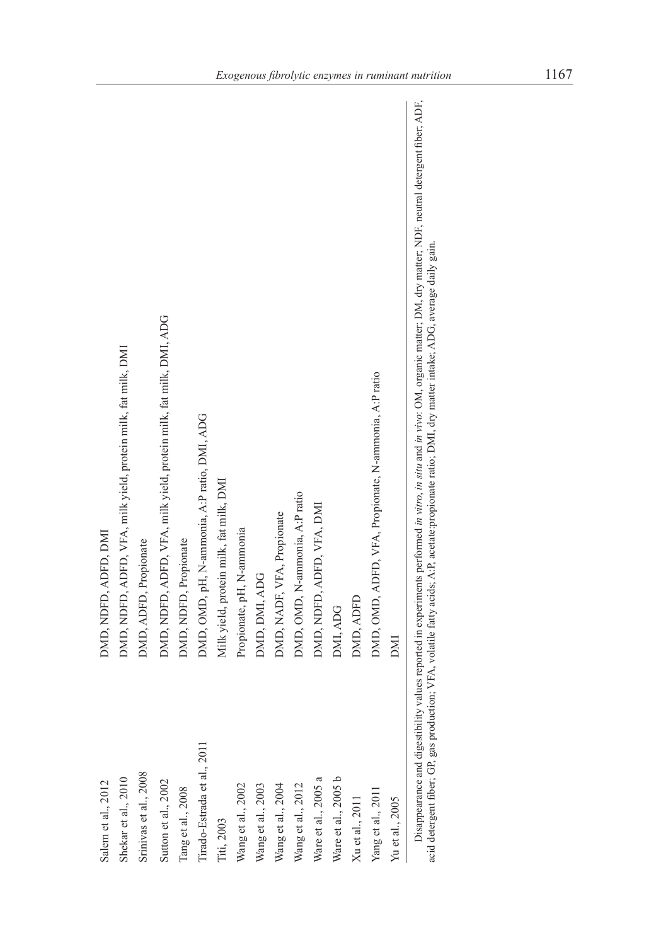| Salem et al., 2012          | DMD, NDFD, ADFD, DMI                                               |
|-----------------------------|--------------------------------------------------------------------|
| Shekar et al., 2010         | DMD, NDFD, ADFD, VFA, milk yield, protein milk, fat milk, DMI      |
| Srinivas et al., 2008       | DMD, ADFD, Propionate                                              |
| Sutton et al., 2002         | DMD, NDFD, ADFD, VFA, milk yield, protein milk, fat milk, DMI, ADG |
| ang et al., 2008            | DMD, NDFD, Propionate                                              |
| l'irado-Estrada et al., 201 | DMD, OMD, pH, N-ammonia, A:P ratio, DMI, ADG                       |
| l'iti, 2003                 | Milk yield, protein milk, fat milk, DMI                            |
| Wang et al., 2002           | Propionate, pH, N-ammonia                                          |
| Wang et al., 2003           | DMD, DMI, ADG                                                      |
| Wang et al., 2004           | DMD, NADF, VFA, Propionate                                         |
| Wang et al., 2012           | DMD, OMD, N-ammonia, A:P ratio                                     |
| Ware et al., 2005 a         | DMD, NDFD, ADFD, VFA, DMI                                          |
| Ware et al., 2005 b         | DMI, ADG                                                           |
| Xu et al., 2011             | DMD, ADFD                                                          |
| Yang et al., 2011           | DMD, OMD, ADFD, VFA, Propionate, N-ammonia, A:P ratio              |
| Yu et al., 2005             | <b>INU</b>                                                         |
|                             |                                                                    |

Disappearance and digestibility values reported in experiments performed in vitro, in situ and in vivo: OM, organic matter; DM, dry matter; NDF, neutral detergent fiber; ADF, acid detergent fiber, ADF, acid detergent fiber Disappearance and digestibility values reported in experiments performed *in vitro*, *in situ* and *in vivo*: OM, organic matter; DM, dry matter; NDF, neutral detergent fiber; ADF, acid detergent fiber; GP, gas production; VFA, volatile fatty acids; A:P, acetate:propionate ratio; DMI, dry matter intake; ADG, average daily gain.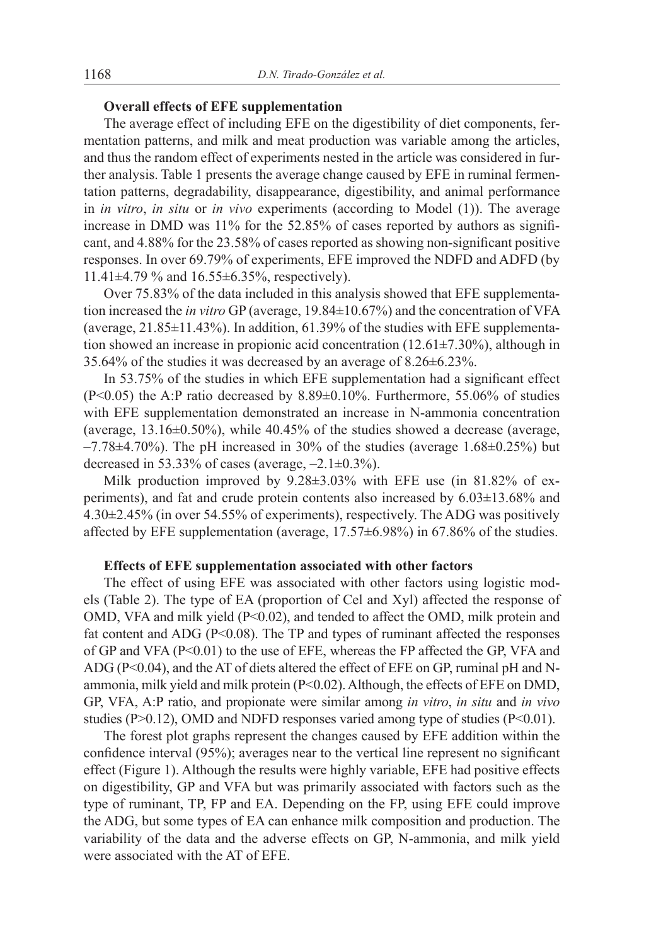# **Overall effects of EFE supplementation**

The average effect of including EFE on the digestibility of diet components, fermentation patterns, and milk and meat production was variable among the articles, and thus the random effect of experiments nested in the article was considered in further analysis. Table 1 presents the average change caused by EFE in ruminal fermentation patterns, degradability, disappearance, digestibility, and animal performance in *in vitro*, *in situ* or *in vivo* experiments (according to Model (1)). The average increase in DMD was 11% for the 52.85% of cases reported by authors as significant, and 4.88% for the 23.58% of cases reported as showing non-significant positive responses. In over 69.79% of experiments, EFE improved the NDFD and ADFD (by 11.41±4.79 % and 16.55±6.35%, respectively).

Over 75.83% of the data included in this analysis showed that EFE supplementation increased the *in vitro* GP (average, 19.84±10.67%) and the concentration of VFA (average, 21.85±11.43%). In addition, 61.39% of the studies with EFE supplementation showed an increase in propionic acid concentration (12.61±7.30%), although in 35.64% of the studies it was decreased by an average of 8.26±6.23%.

In 53.75% of the studies in which EFE supplementation had a significant effect (P<0.05) the A:P ratio decreased by 8.89±0.10%. Furthermore, 55.06% of studies with EFE supplementation demonstrated an increase in N-ammonia concentration (average, 13.16±0.50%), while 40.45% of the studies showed a decrease (average,  $-7.78\pm4.70\%$ ). The pH increased in 30% of the studies (average 1.68 $\pm$ 0.25%) but decreased in 53.33% of cases (average,  $-2.1\pm0.3\%$ ).

Milk production improved by 9.28±3.03% with EFE use (in 81.82% of experiments), and fat and crude protein contents also increased by 6.03±13.68% and 4.30±2.45% (in over 54.55% of experiments), respectively. The ADG was positively affected by EFE supplementation (average, 17.57±6.98%) in 67.86% of the studies.

# **Effects of EFE supplementation associated with other factors**

The effect of using EFE was associated with other factors using logistic models (Table 2). The type of EA (proportion of Cel and Xyl) affected the response of OMD, VFA and milk yield (P<0.02), and tended to affect the OMD, milk protein and fat content and ADG (P<0.08). The TP and types of ruminant affected the responses of GP and VFA (P<0.01) to the use of EFE, whereas the FP affected the GP, VFA and ADG (P<0.04), and the AT of diets altered the effect of EFE on GP, ruminal pH and Nammonia, milk yield and milk protein (P<0.02). Although, the effects of EFE on DMD, GP, VFA, A:P ratio, and propionate were similar among *in vitro*, *in situ* and *in vivo* studies ( $P > 0.12$ ), OMD and NDFD responses varied among type of studies ( $P < 0.01$ ).

The forest plot graphs represent the changes caused by EFE addition within the confidence interval (95%); averages near to the vertical line represent no significant effect (Figure 1). Although the results were highly variable, EFE had positive effects on digestibility, GP and VFA but was primarily associated with factors such as the type of ruminant, TP, FP and EA. Depending on the FP, using EFE could improve the ADG, but some types of EA can enhance milk composition and production. The variability of the data and the adverse effects on GP, N-ammonia, and milk yield were associated with the AT of EFE.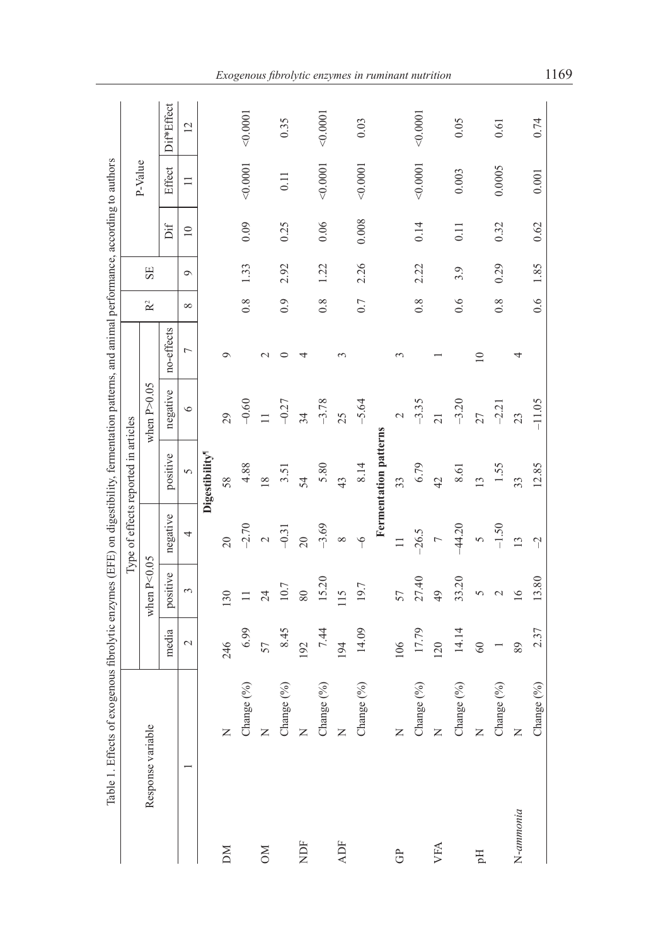|             | of exogenous fibrolytic enzymes (EFE) on digestibility, fermentation patterns, and animal performance, according to authors<br>Table 1. Effects |               |                       |                           |                                      |                 |                |                |         |                 |          |                 |
|-------------|-------------------------------------------------------------------------------------------------------------------------------------------------|---------------|-----------------------|---------------------------|--------------------------------------|-----------------|----------------|----------------|---------|-----------------|----------|-----------------|
|             |                                                                                                                                                 |               |                       |                           | Type of effects reported in articles |                 |                |                |         |                 | P-Value  |                 |
|             | Response variable                                                                                                                               |               | when $P<0.05$         |                           |                                      | when $P > 0.05$ |                | $\mathbb{R}^2$ | SE      |                 |          |                 |
|             |                                                                                                                                                 | media         | positive              | negative                  | positive                             | negative        | no-effects     |                |         | Dif             | Effect   | Dif*Effect      |
|             |                                                                                                                                                 | $\mathcal{L}$ | $\tilde{\phantom{a}}$ | 4                         | $\sigma$                             | $\circ$         | $\overline{ }$ | $\infty$       | $\circ$ | $\overline{10}$ | $\Box$   | $\overline{12}$ |
|             |                                                                                                                                                 |               |                       |                           | Digestibility <sup>1</sup>           |                 |                |                |         |                 |          |                 |
| DМ          | Z                                                                                                                                               | 246           | 30                    | $\overline{c}$            | 58                                   | 29              | ◦              |                |         |                 |          |                 |
|             | Change (%)                                                                                                                                      | 6.99          | $\Box$                | $-2.70$                   | 4.88                                 | $-0.60$         |                | 0.8            | 1.33    | 0.09            | 0001     | 0.0001          |
| $M_{\odot}$ | $\simeq$                                                                                                                                        | 57            | $\overline{24}$       | $\mathcal{L}$             | $\overline{8}$                       |                 |                |                |         |                 |          |                 |
|             | Change (%)                                                                                                                                      | 8.45          | 10.7                  | $-0.31$                   | 3.51                                 | $-0.27$         |                | 0.9            | 2.92    | 0.25            | 0.11     | 0.35            |
| χDF         | $\simeq$                                                                                                                                        | 192           | $80\,$                | $\overline{20}$           | 54                                   | 34              |                |                |         |                 |          |                 |
|             | Change (%)                                                                                                                                      | 7.44          | 15.20                 | $-3.69$                   | 5.80                                 | $-3.78$         |                | 0.8            | 1.22    | 0.06            | < 0.0001 | 00001           |
| <b>ADF</b>  | $\geq$                                                                                                                                          | 194           | 115                   | ${}^{\circ}$              | 43                                   | 25              | $\mathfrak{g}$ |                |         |                 |          |                 |
|             | Change (%)                                                                                                                                      | 14.09         | 19.7                  | $\widetilde{\phantom{0}}$ | 8.14                                 | $-5.64$         |                | 0.7            | 2.26    | 0.008           | 00001    | 0.03            |
|             |                                                                                                                                                 |               |                       |                           | Fermentation patterns                |                 |                |                |         |                 |          |                 |
| පි          | Z                                                                                                                                               | 106           | 57                    | $\Box$                    | 33                                   | $\mathbf{\sim}$ | $\sim$         |                |         |                 |          |                 |
|             | Change (%)                                                                                                                                      | 17.79         | 27.40                 | $-26.5$                   | 6.79                                 | $-3.35$         |                | 0.8            | 2.22    | 0.14            | 0.0001   | 0.0001          |
| VFA         | $\simeq$                                                                                                                                        | 120           | $\overline{\varphi}$  | $\overline{ }$            | $\overline{4}$                       | $\overline{21}$ |                |                |         |                 |          |                 |
|             | Change (%)                                                                                                                                      | 14.14         | 33.20                 | $-44.20$                  | 8.61                                 | $-3.20$         |                | 0.6            | 3.9     | 0.11            | 0.003    | 0.05            |
| Flq         | $\overline{z}$                                                                                                                                  | $\otimes$     | 5                     | 5                         | $\overline{c}$                       | 27              | $\equiv$       |                |         |                 |          |                 |
|             | Change (%)                                                                                                                                      |               | $\mathcal{L}$         | $-1.50$                   | 1.55                                 | $-2.21$         |                | 0.8            | 0.29    | 0.32            | 0.0005   | 0.61            |
| N-ammonia   | $\simeq$                                                                                                                                        | 89            | $\geq$                | $\overline{13}$           | 33                                   | 23              |                |                |         |                 |          |                 |
|             | Change (%)                                                                                                                                      | 2.37          | 13.80                 | $\tilde{a}$               | 12.85                                | $-11.05$        |                | 0.6            | 1.85    | 0.62            | 0.001    | 0.74            |
|             |                                                                                                                                                 |               |                       |                           |                                      |                 |                |                |         |                 |          |                 |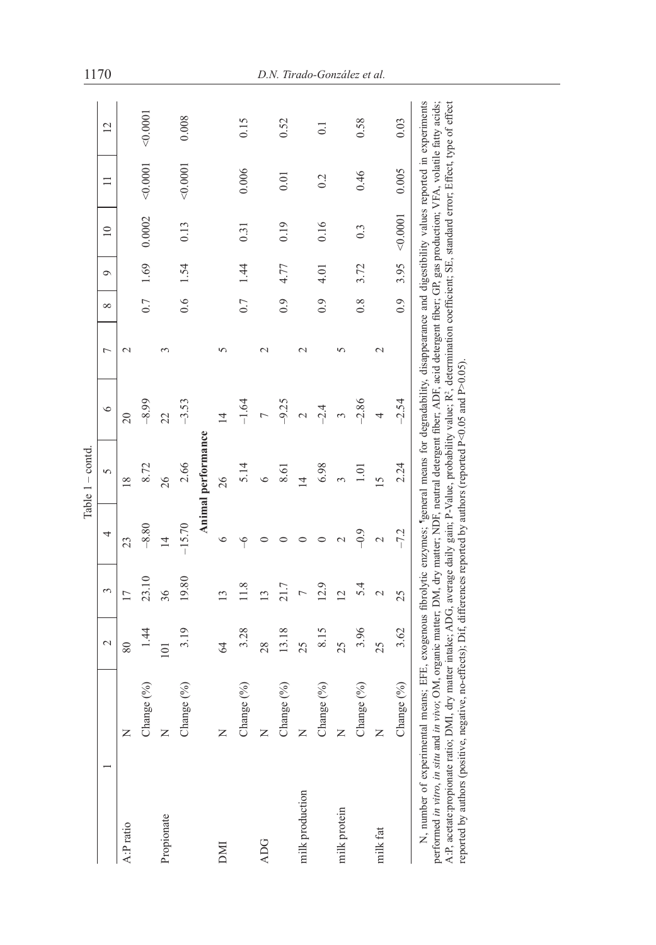|                                                                   | $\sim$          | 3                       | 4         | 5              | $\circ$                  | Γ                  | $\infty$         | Ò               | $\overline{10}$  | $\Box$ | 12                                                                                                                                                                                                                                                                                                                                                                                                                                                                                                  |
|-------------------------------------------------------------------|-----------------|-------------------------|-----------|----------------|--------------------------|--------------------|------------------|-----------------|------------------|--------|-----------------------------------------------------------------------------------------------------------------------------------------------------------------------------------------------------------------------------------------------------------------------------------------------------------------------------------------------------------------------------------------------------------------------------------------------------------------------------------------------------|
| Z                                                                 | 80              | $\overline{17}$         | 23        | $\frac{8}{2}$  | $\approx$                | $\mathbf{\sim}$    |                  |                 |                  |        |                                                                                                                                                                                                                                                                                                                                                                                                                                                                                                     |
| Change (%)                                                        | $\overline{14}$ | 23.10                   | $-8.80$   | 8.72           | $-8.99$                  |                    | 0.7              | 1.69            | 0.0002           | 0.0001 | 0.0001                                                                                                                                                                                                                                                                                                                                                                                                                                                                                              |
| Z                                                                 | 101             | 36                      | ᅼ         | 26             | $\overline{\mathcal{L}}$ |                    |                  |                 |                  |        |                                                                                                                                                                                                                                                                                                                                                                                                                                                                                                     |
| Change (%)                                                        | 3.19            | 19.80                   | $-15.70$  | 2.66           | $-3.53$                  |                    | 0.6              | $\overline{54}$ | 0.13             | 0.0001 | 0.008                                                                                                                                                                                                                                                                                                                                                                                                                                                                                               |
|                                                                   |                 |                         |           |                |                          |                    |                  |                 |                  |        |                                                                                                                                                                                                                                                                                                                                                                                                                                                                                                     |
| Z                                                                 | $\mathcal{Z}$   | $\overline{13}$         | $\circ$   | 26             | ᅺ                        |                    |                  |                 |                  |        |                                                                                                                                                                                                                                                                                                                                                                                                                                                                                                     |
| Change $(\%)$                                                     | 3.28            | 11.8                    | $\varphi$ | 5.14           | $-1.64$                  |                    | 0.7              | $\ddot{4}$      | 0.31             | 0.006  | 0.15                                                                                                                                                                                                                                                                                                                                                                                                                                                                                                |
| Z                                                                 | 28              | S                       |           |                |                          |                    |                  |                 |                  |        |                                                                                                                                                                                                                                                                                                                                                                                                                                                                                                     |
| Change (%)                                                        | 13.18           | 21.7                    |           | 8.61           | $-9.25$                  |                    | $\ddot{0}$       |                 | 0.19             | 0.01   | 0.52                                                                                                                                                                                                                                                                                                                                                                                                                                                                                                |
| Z                                                                 | 25              |                         |           | 4              |                          |                    |                  |                 |                  |        |                                                                                                                                                                                                                                                                                                                                                                                                                                                                                                     |
| Change (%)                                                        | 8.15            | 12.9                    |           | 6.98           | $-2.4$                   |                    | $\overline{0.9}$ | 4.01            | 0.16             | 0.2    | $\overline{0}$                                                                                                                                                                                                                                                                                                                                                                                                                                                                                      |
| Z                                                                 | 25              | $\overline{\mathbf{C}}$ |           |                | 3                        |                    |                  |                 |                  |        |                                                                                                                                                                                                                                                                                                                                                                                                                                                                                                     |
| Change (%)                                                        | 3.96            | 5.4                     | $-9.9$    | $\frac{1}{2}$  | $-2.86$                  |                    | $\frac{8}{1}$    | 3.72            | $0.\overline{3}$ | 0.46   | 0.58                                                                                                                                                                                                                                                                                                                                                                                                                                                                                                |
| Z                                                                 | 25              | 2                       |           | $\overline{5}$ | 4                        | $\mathcal{C}$      |                  |                 |                  |        |                                                                                                                                                                                                                                                                                                                                                                                                                                                                                                     |
| Change (%)                                                        | 3.62            | 25                      | $-7.2$    | 2.24           | $-2.54$                  |                    | 0.9              | 3.95            | 0.0001           | 0.005  | 0.03                                                                                                                                                                                                                                                                                                                                                                                                                                                                                                |
| performed in vitro, in situ and<br>A:P, acetate:propionate ratio; |                 |                         |           |                |                          |                    |                  |                 |                  |        |                                                                                                                                                                                                                                                                                                                                                                                                                                                                                                     |
|                                                                   |                 |                         |           |                | $Table 1 - cond$         | Animal performance |                  |                 |                  |        | N, number of experimental means; EFE, exogenous fibrolytic enzymes; "general means for degradability, disappearance and digestibility values reported in experiments<br>in vivo; OM, organic matter; DM, dry matter; NDF, neutral detergent fiber; ADF, acid detergent fiber; GP, gas production; VFA, volatile fatty acids;<br>DMI, dry matter intake; ADG, average daily gain; P-Value, probability value; R <sup>2</sup> , determination coefficient; SE, standard error; Effect, type of effect |

reported by authors (positive, negative, no-effects); Dif, differences reported by authors (reported P<0.05 and P>0.05).

reported by authors (positive, negative, no-effects); Dif, differences reported by authors (reported P<0.05 and P>0.05).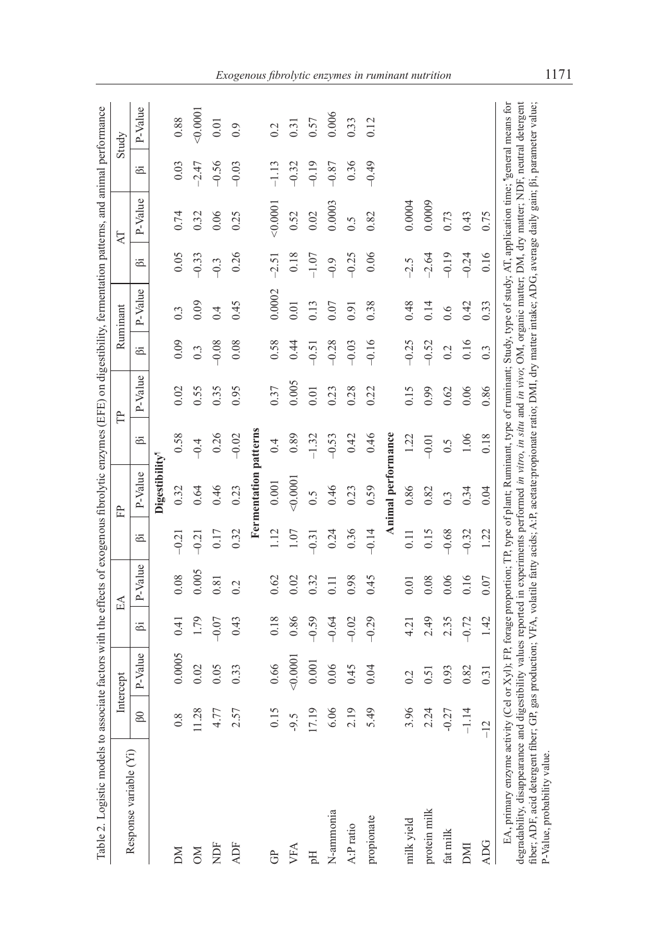| Table 2. Logistic models to                                                                                                                                                                                                                                                                                                                                                                                                                                                                                                                                                                |         |           |         |            |                  | associate factors with the effects of exogenous fibrolytic enzymes (EFE) on digestibility, fermentation patterns, and animal performance |         |         |                  |                  |         |         |         |         |
|--------------------------------------------------------------------------------------------------------------------------------------------------------------------------------------------------------------------------------------------------------------------------------------------------------------------------------------------------------------------------------------------------------------------------------------------------------------------------------------------------------------------------------------------------------------------------------------------|---------|-----------|---------|------------|------------------|------------------------------------------------------------------------------------------------------------------------------------------|---------|---------|------------------|------------------|---------|---------|---------|---------|
|                                                                                                                                                                                                                                                                                                                                                                                                                                                                                                                                                                                            |         | Intercept |         | $E\Lambda$ |                  | ÊP                                                                                                                                       |         | Ê       |                  | Ruminant         |         | K       |         | Study   |
| Response variable (Yi)                                                                                                                                                                                                                                                                                                                                                                                                                                                                                                                                                                     | 60      | P-Value   | ä       | P-Value    | ä                | P-Value                                                                                                                                  | ä       | P-Value | ä                | P-Value          | ä       | P-Value | ä       | P-Value |
|                                                                                                                                                                                                                                                                                                                                                                                                                                                                                                                                                                                            |         |           |         |            |                  | Digestibility <sup>1</sup>                                                                                                               |         |         |                  |                  |         |         |         |         |
| ΣN                                                                                                                                                                                                                                                                                                                                                                                                                                                                                                                                                                                         | 0.8     | 0.0005    | 0.41    | 0.08       | $-0.21$          | 0.32                                                                                                                                     | 0.58    | 0.02    | 0.09             | $0.\overline{3}$ | 0.05    | 0.74    | 0.03    | 0.88    |
| $_{\rm NN}$                                                                                                                                                                                                                                                                                                                                                                                                                                                                                                                                                                                | 11.28   | 0.02      | 1.79    | 0.005      | $-0.21$          | 0.64                                                                                                                                     | $-0.4$  | 0.55    | $0.\overline{3}$ | 0.09             | $-0.33$ | 0.32    | $-2.47$ | 40.0001 |
| NDF                                                                                                                                                                                                                                                                                                                                                                                                                                                                                                                                                                                        | 4.77    | 0.05      | $-0.07$ | 0.81       | 0.17             | 0.46                                                                                                                                     | 0.26    | 0.35    | $-0.08$          | 0.4              | $-0.3$  | 0.06    | $-0.56$ | 0.01    |
| <b>ADF</b>                                                                                                                                                                                                                                                                                                                                                                                                                                                                                                                                                                                 | 2.57    | 0.33      | 0.43    | 0.2        | 0.32             | 0.23                                                                                                                                     | $-0.02$ | 0.95    | 0.08             | 0.45             | 0.26    | 0.25    | $-0.03$ | 0.9     |
|                                                                                                                                                                                                                                                                                                                                                                                                                                                                                                                                                                                            |         |           |         |            |                  | Fermentation patterns                                                                                                                    |         |         |                  |                  |         |         |         |         |
| Ĝ                                                                                                                                                                                                                                                                                                                                                                                                                                                                                                                                                                                          | 0.15    | 0.66      | 0.18    | 0.62       | 1.12             | 0.001                                                                                                                                    | 0.4     | 0.37    | 0.58             | 0.0002           | $-2.51$ | 0.000   | $-1.13$ | 0.2     |
| VFA                                                                                                                                                                                                                                                                                                                                                                                                                                                                                                                                                                                        | $-9.5$  | 0.0001    | 0.86    | 0.02       | 1.07             | (0000)                                                                                                                                   | 0.89    | 0.005   | 0.44             | 0.01             | 0.18    | 0.52    | $-0.32$ | 0.31    |
| Fl                                                                                                                                                                                                                                                                                                                                                                                                                                                                                                                                                                                         | 17.19   | 0.001     | $-0.59$ | 0.32       | $-0.31$          | $\widetilde{0}$ .5                                                                                                                       | $-1.32$ | 0.01    | $-0.51$          | 0.13             | $-1.07$ | 0.02    | $-0.19$ | 0.57    |
| N-ammonia                                                                                                                                                                                                                                                                                                                                                                                                                                                                                                                                                                                  | 6.06    | 0.06      | $-0.64$ | 0.11       | 0.24             | 0.46                                                                                                                                     | $-0.53$ | 0.23    | $-0.28$          | 0.07             | $-0.9$  | 0.0003  | $-0.87$ | 0.006   |
| A:P ratio                                                                                                                                                                                                                                                                                                                                                                                                                                                                                                                                                                                  | 2.19    | 0.45      | $-0.02$ | 0.98       | 0.36             | 0.23                                                                                                                                     | 0.42    | 0.28    | $-0.03$          | 0.91             | $-0.25$ | 0.5     | 0.36    | 0.33    |
| propionate                                                                                                                                                                                                                                                                                                                                                                                                                                                                                                                                                                                 | 5.49    | 0.04      | $-0.29$ | 0.45       | $-0.14$          | 0.59                                                                                                                                     | 0.46    | 0.22    | $-0.16$          | 0.38             | 0.06    | 0.82    | $-0.49$ | 0.12    |
|                                                                                                                                                                                                                                                                                                                                                                                                                                                                                                                                                                                            |         |           |         |            |                  | Animal performance                                                                                                                       |         |         |                  |                  |         |         |         |         |
| milk yield                                                                                                                                                                                                                                                                                                                                                                                                                                                                                                                                                                                 | 3.96    | 0.2       | 4.21    | 0.01       | $\overline{0}$ . | 0.86                                                                                                                                     | 1.22    | 0.15    | $-0.25$          | 0.48             | $-2.5$  | 0.0004  |         |         |
| protein milk                                                                                                                                                                                                                                                                                                                                                                                                                                                                                                                                                                               | 2.24    | 0.51      | 2.49    | 0.08       | 0.15             | 0.82                                                                                                                                     | $-0.01$ | 0.99    | $-0.52$          | 0.14             | $-2.64$ | 0.0009  |         |         |
| fat milk                                                                                                                                                                                                                                                                                                                                                                                                                                                                                                                                                                                   | $-0.27$ | 0.93      | 2.35    | 0.06       | $-0.68$          | $0.\overline{3}$                                                                                                                         | 0.5     | 0.62    | 0.2              | 0.6              | $-0.19$ | 0.73    |         |         |
| DMI                                                                                                                                                                                                                                                                                                                                                                                                                                                                                                                                                                                        | $-1.14$ | 0.82      | $-0.72$ | 0.16       | $-0.32$          | 0.34                                                                                                                                     | 1.06    | 0.06    | 0.16             | 0.42             | $-0.24$ | 0.43    |         |         |
| <b>ADG</b>                                                                                                                                                                                                                                                                                                                                                                                                                                                                                                                                                                                 | $-12$   | 0.31      | 1.42    | 0.07       | 1.22             | 0.04                                                                                                                                     | 0.18    | 0.86    | 0.3              | 0.33             | 0.16    | 0.75    |         |         |
| EA, primary enzyme activity (Cel or Xyl); FP, forage proportion; TP, type of plant; Ruminant, type of ruminant; Study, Npe of study; AT, application time; "general means for<br>degradability, disappearance and digestibility values reported in experiments performed in vitro, in situ and in vivo; OM, organic matter; DM, dry matter; NDF, neutral detergent<br>fiber; ADF, acid detergent fiber; GP, gas production; VFA, volatile fatty acids; A:P, acetate:propionate ratio; DMI, dry matter intake; ADG, average daily gain; ßi, parameter value;<br>P-Value, probability value. |         |           |         |            |                  |                                                                                                                                          |         |         |                  |                  |         |         |         |         |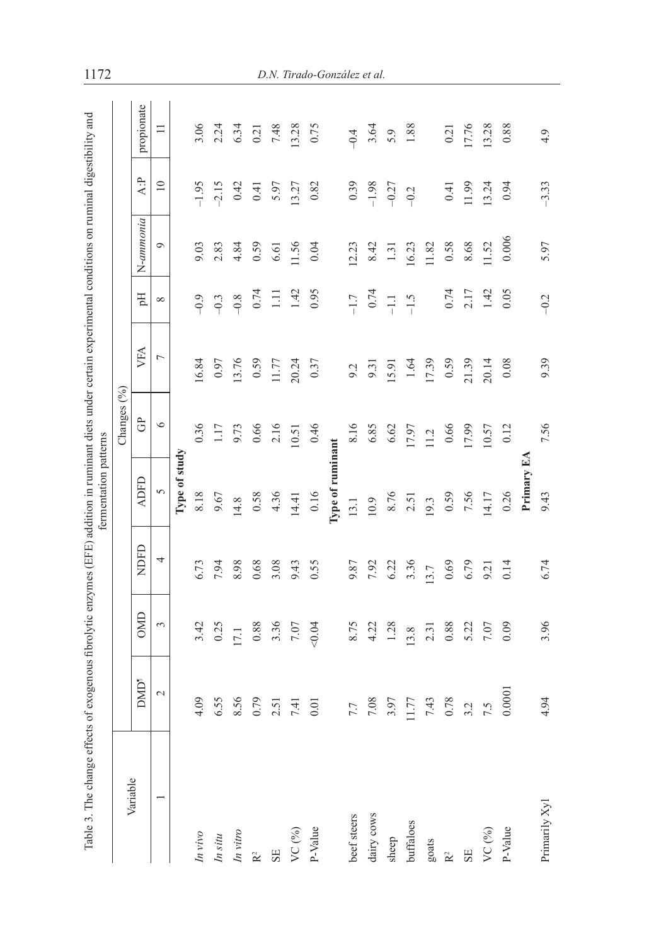| ֖֖֖֧ׅׅׅ֧ׅ֧ׅ֪֪ׅ֚֚֚֚֚֚֚֚֚֚֚֚֚֚֚֚֚֚֚֡֕֝֝֝֬֝֬֝֬֓֡֞֓֬ |  |
|--------------------------------------------------|--|
|                                                  |  |
|                                                  |  |
|                                                  |  |
|                                                  |  |
|                                                  |  |
|                                                  |  |
|                                                  |  |
|                                                  |  |
|                                                  |  |
|                                                  |  |
|                                                  |  |
|                                                  |  |
|                                                  |  |
|                                                  |  |
|                                                  |  |
|                                                  |  |
|                                                  |  |
|                                                  |  |
|                                                  |  |
|                                                  |  |
|                                                  |  |
|                                                  |  |
|                                                  |  |
|                                                  |  |
|                                                  |  |
|                                                  |  |
|                                                  |  |
|                                                  |  |
|                                                  |  |
|                                                  |  |
|                                                  |  |
|                                                  |  |
|                                                  |  |
|                                                  |  |
|                                                  |  |
|                                                  |  |
|                                                  |  |
|                                                  |  |
|                                                  |  |
|                                                  |  |
|                                                  |  |
|                                                  |  |
| I                                                |  |
|                                                  |  |
| ì                                                |  |
|                                                  |  |
|                                                  |  |
|                                                  |  |
|                                                  |  |
|                                                  |  |
|                                                  |  |
|                                                  |  |
| i                                                |  |
|                                                  |  |
|                                                  |  |
|                                                  |  |
|                                                  |  |
|                                                  |  |
|                                                  |  |
|                                                  |  |
|                                                  |  |
|                                                  |  |
| ì                                                |  |
|                                                  |  |
|                                                  |  |
|                                                  |  |
| i                                                |  |
|                                                  |  |
| Í<br>١                                           |  |
| ֖֖֖֧ׅ֖֚֚֚֚֚֚֚֚֚֚֚֚֚֚֚֚֚֚֚֚֚֚֚֚֚֚֬֝֬֝֓֡֡֓֬֝֓֬     |  |
| į<br>l                                           |  |
| ۱<br>$\overline{a}$<br>֖֖֖֖֚֚֚֚֚֚֬               |  |

|                |                  |            |      |                  | Changes (%) |                          |                            |           |                 |            |
|----------------|------------------|------------|------|------------------|-------------|--------------------------|----------------------------|-----------|-----------------|------------|
| Variable       | DMD <sup>1</sup> | <b>OMD</b> | NDFD | <b>ADFD</b>      | Ĝ           | VFA                      | Eq                         | N-ammonia | A:P             | propionate |
| $\overline{ }$ | $\sim$           | 3          | 4    | $\sigma$         | $\circ$     | $\overline{\phantom{a}}$ | $\infty$                   | $\circ$   | $\overline{10}$ | $\equiv$   |
|                |                  |            |      | Type of study    |             |                          |                            |           |                 |            |
| In vivo        | 4.09             | 3.42       | 6.73 | 8.18             | 0.36        | 16.84                    | $-9.9$                     | 9.03      | $-1.95$         | 3.06       |
| In $situ$      | 6.55             | 0.25       | 7.94 | 9.67             | 1.17        | 0.97                     | $-9.3$                     | 2.83      | $-2.15$         | 2.24       |
| In vitro       | 8.56             | 17.1       | 8.98 | 14.8             | 9.73        | 13.76                    | $-9.8$                     | 4.84      | 0.42            | 6.34       |
| $\mathbf{R}^2$ | 0.79             | $0.88\,$   | 0.68 | 0.58             | 0.66        | 0.59                     | 0.74                       | 0.59      | 0.41            | 0.21       |
| SE             | 2.51             | 3.36       | 3.08 | 4.36             | 2.16        | 11.77                    | $\Xi$                      | 6.61      | 5.97            | 7.48       |
| VC $(^{96})$   | 7.41             | $7.07$     | 9.43 | 14.41            | 10.51       | 20.24                    | 1.42                       | 11.56     | 13.27           | 13.28      |
| P-Value        | 0.01             | 0.04       | 0.55 | 0.16             | 0.46        | 0.37                     | 0.95                       | 0.04      | 0.82            | 0.75       |
|                |                  |            |      | Type of ruminant |             |                          |                            |           |                 |            |
| beef steers    | 7.7              | 8.75       | 9.87 | 13.1             | 8.16        | 9.2                      | $-1.7$                     | 12.23     | 0.39            | $-0.4$     |
| dairy cows     | 7.08             | 4.22       | 7.92 | 10.9             | 6.85        | 9.31                     | 0.74                       | 8.42      | $-1.98$         | 3.64       |
| sheep          | 3.97             | 1.28       | 6.22 | 8.76             | $6.62$      | 15.91                    | $\overline{-1}$ .<br><br>1 | 1.31      | $-0.27$         | 5.9        |
| buffaloes      | $1.77$<br>7.43   | 13.8       | 3.36 | 2.51             | 17.97       | 1.64                     | $-1.5$                     | 16.23     | $-0.2$          | 1.88       |
| goats          |                  | 2.31       | 13.7 | 19.3             | 11.2        | 17.39                    |                            | 11.82     |                 |            |
| $\mathbf{R}^2$ | 0.78             | 0.88       | 0.69 | 0.59             | 0.66        | 0.59                     | 0.74                       | 0.58      | 0.41            | 0.21       |
| SE             | 3.2              | 5.22       | 6.79 | 7.56             | 17.99       | 21.39                    | 2.17                       | 8.68      | 11.99           | 17.76      |
| VC $(%)$       | 7.5              | 7.07       | 9.21 | 14.17            | 10.57       | 20.14                    | 1.42                       | 11.52     | 13.24           | 13.28      |
| P-Value        | 0.0001           | 0.09       | 0.14 | 0.26             | 0.12        | 0.08                     | 0.05                       | 0.006     | 0.94            | 0.88       |
|                |                  |            |      | Primary EA       |             |                          |                            |           |                 |            |
| Primarily Xyl  | 4.94             | 3.96       | 6.74 | 9.43             | 7.56        | 9.39                     | $-0.2$                     | 5.97      | $-3.33$         | 4.9        |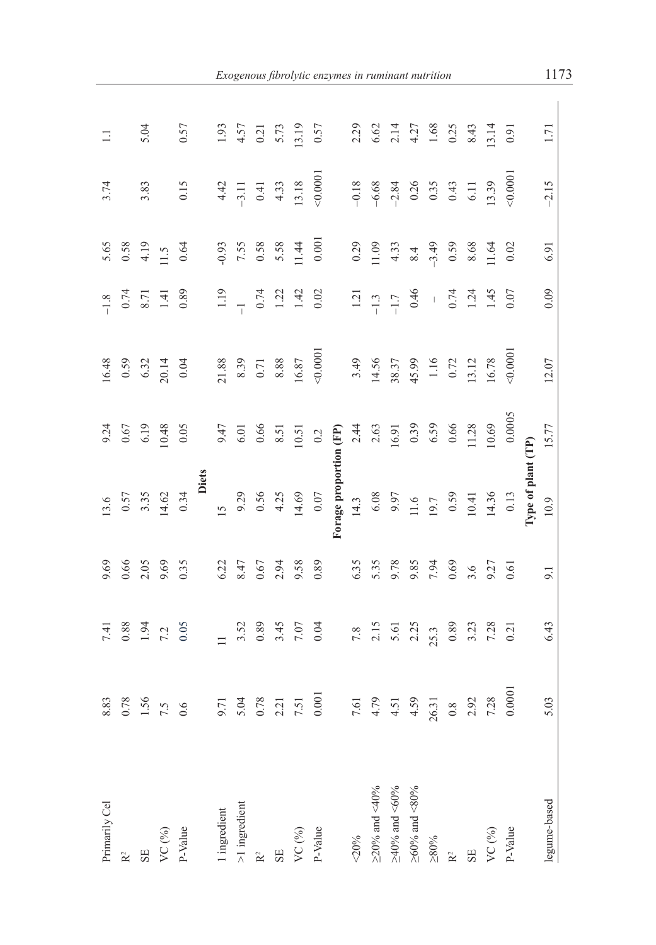| Primarily Cel                  | 8.83                           | 7.41                                                                           | 9.69          | 13.6                                                                                  | 9.24                                  | 16.48                                             | $-1.8$                                       | 5.65                                                          | 3.74                                               | $\equiv$                                        |
|--------------------------------|--------------------------------|--------------------------------------------------------------------------------|---------------|---------------------------------------------------------------------------------------|---------------------------------------|---------------------------------------------------|----------------------------------------------|---------------------------------------------------------------|----------------------------------------------------|-------------------------------------------------|
|                                | 0.78                           |                                                                                | 0.66          |                                                                                       | 0.67                                  | 0.59                                              |                                              |                                                               |                                                    |                                                 |
|                                | 1.56                           | $0.88$<br>1.94<br>7.2<br>0.05                                                  | 2.05          | $0.57$<br>3.35<br>14.62                                                               | 6.19                                  |                                                   | $0.74$<br>8.71                               | $0.58$<br>4.19<br>11.5<br>11.5                                | 3.83                                               | 5.04                                            |
| VC $(^{0}_{0})$                | 7.5                            |                                                                                | 9.69          |                                                                                       | 10.48                                 | $6.32$<br>20.14                                   |                                              |                                                               |                                                    |                                                 |
| P-Value                        | 0.6                            |                                                                                | 0.35          | 0.34                                                                                  | 0.05                                  | 0.04                                              | 0.89                                         |                                                               | 0.15                                               | 0.57                                            |
|                                |                                |                                                                                |               | Diets                                                                                 |                                       |                                                   |                                              |                                                               |                                                    |                                                 |
| ingredient                     | 9.71                           |                                                                                | 6.22          | 15                                                                                    |                                       |                                                   |                                              |                                                               |                                                    |                                                 |
| -1 ingredient                  | 5.04                           |                                                                                | 8.47          | 9.29                                                                                  | $6.01$<br>0.66                        |                                                   |                                              |                                                               |                                                    |                                                 |
|                                | $0.78\,$                       |                                                                                | 0.67          |                                                                                       |                                       |                                                   |                                              |                                                               |                                                    |                                                 |
|                                | 2.21                           | $3.52$<br>0.89<br>3.45<br>7.07                                                 | 2.94          | $0.56$<br>4.25<br>14.69                                                               | 8.51                                  |                                                   | $1.19$<br>$-1$<br>$0.74$<br>$1.22$<br>$1.42$ | $-0.93$<br>7.55<br>0.58<br>5.58<br>11.44                      | $4.42$<br>$-3.11$<br>0.41<br>4.33<br>4.33<br>13.18 | $1.93$<br>$4.57$<br>$6.21$<br>$5.73$<br>$13.19$ |
| VC (%)                         | 7.51                           |                                                                                | 9.58          |                                                                                       | 10.51                                 | 21.88<br>8.39<br>0.71<br>8.88<br>16.87            |                                              |                                                               |                                                    |                                                 |
| P-Value                        | $0.001\,$                      | 0.04                                                                           | 0.89          | $0.07\,$                                                                              | 0.2                                   | 0.0001                                            | $0.02\,$                                     | $0.001\,$                                                     | 0.0001                                             | 0.57                                            |
|                                |                                |                                                                                |               | Forage proportion (FP)                                                                |                                       |                                                   |                                              |                                                               |                                                    |                                                 |
| 20%                            |                                |                                                                                | 6.35          | 14.3                                                                                  |                                       | 3.49                                              |                                              |                                                               | $-0.18$                                            | 2.29                                            |
| $\geq$ 20% and <40%            | $7.61$<br>4.79<br>4.51<br>4.59 |                                                                                | 5.35          |                                                                                       | $2.44$<br>$2.63$<br>$16.91$<br>$0.39$ | 14.56<br>38.37<br>45.99<br>1.16<br>13.12<br>13.12 | $1.21$<br>-1.3<br>-1.7                       | 0.29<br>11.09<br>4.33<br>$\frac{3}{4}$<br>4.4<br>0.59<br>8.68 |                                                    |                                                 |
| $\geq$ 40% and $<\!\!60\!\!$ % |                                |                                                                                | 9.78          |                                                                                       |                                       |                                                   |                                              |                                                               | $-6.68$<br>$-2.84$<br>0.26<br>0.35<br>0.43<br>6.11 | $6.62$<br>$2.14$<br>$4.27$<br>$1.68$<br>$1.68$  |
| $\geq$ 60% and <80%            |                                |                                                                                |               |                                                                                       |                                       |                                                   |                                              |                                                               |                                                    |                                                 |
| $> 80\%$                       | 26.31                          |                                                                                | 7.94          |                                                                                       | 6.59                                  |                                                   |                                              |                                                               |                                                    |                                                 |
|                                | $0.8\,$                        |                                                                                | 0.69          |                                                                                       | 0.66                                  |                                                   |                                              |                                                               |                                                    |                                                 |
| SE <sub></sub>                 | 2.92                           | $\begin{array}{cccc}\n7.8 \\ 2.15 \\ 5.61 \\ 2.33 \\ 2.53 \\ 3.3\n\end{array}$ | $3.6$<br>9.27 | $\begin{array}{c} 6.08 \\ 9.97 \\ 11.6 \\ 19.7 \\ 0.59 \\ 10.41 \\ 14.36 \end{array}$ | 11.28                                 |                                                   | $0.46$<br>$-$<br>$0.74$<br>$1.24$            |                                                               |                                                    |                                                 |
| VC $(9/0)$                     | 7.28                           |                                                                                |               |                                                                                       | 10.69                                 | 16.78                                             | 1.45                                         | 11.64                                                         | 13.39                                              | $\begin{array}{c} 8.43 \\ 13.14 \end{array}$    |
| P-Value                        | 0.0001                         |                                                                                | 0.61          | 0.13                                                                                  | 0.0005                                | 0.0001                                            | 0.07                                         | 0.02                                                          | 0.0001                                             | 0.91                                            |
|                                |                                |                                                                                |               | lype of plant (TP)                                                                    |                                       |                                                   |                                              |                                                               |                                                    |                                                 |
| legume-based                   | 5.03                           | 6.43                                                                           | 9.1           | 10.9                                                                                  | 15.77                                 | 12.07                                             | 0.09                                         | 6.91                                                          | $-2.15$                                            | 1.71                                            |
|                                |                                |                                                                                |               |                                                                                       |                                       |                                                   |                                              |                                                               |                                                    |                                                 |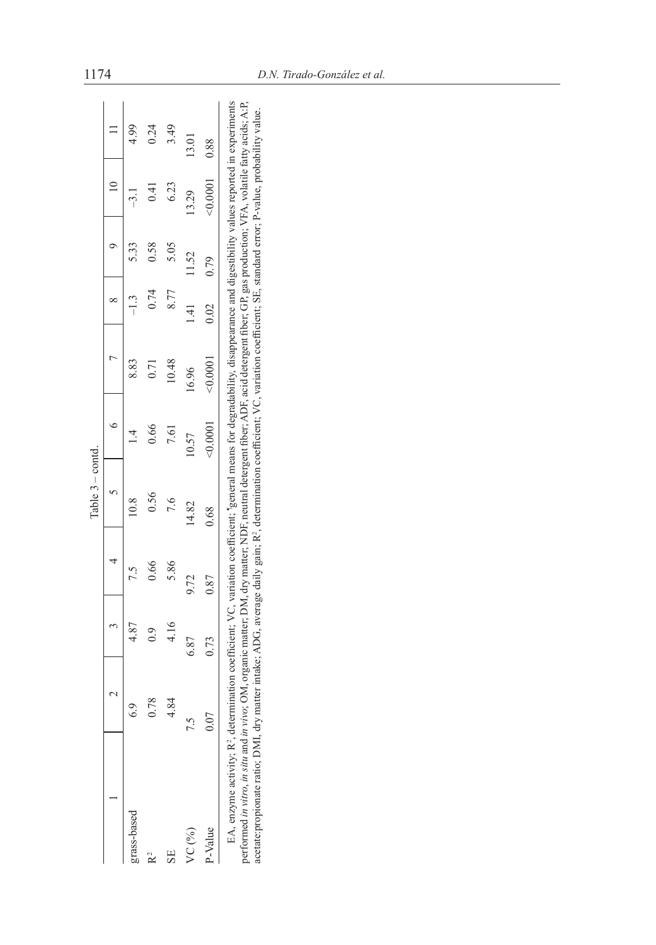|                                                                                                                                                                                                                                                                           |        |                                                                                                                                                                                                                                                                                                                              |      | Table $3 -$ contd. |          |          |      |       |          |       |
|---------------------------------------------------------------------------------------------------------------------------------------------------------------------------------------------------------------------------------------------------------------------------|--------|------------------------------------------------------------------------------------------------------------------------------------------------------------------------------------------------------------------------------------------------------------------------------------------------------------------------------|------|--------------------|----------|----------|------|-------|----------|-------|
|                                                                                                                                                                                                                                                                           |        |                                                                                                                                                                                                                                                                                                                              |      |                    |          |          |      |       |          |       |
| grass-based                                                                                                                                                                                                                                                               | c<br>C |                                                                                                                                                                                                                                                                                                                              |      |                    |          |          |      |       |          |       |
|                                                                                                                                                                                                                                                                           |        | $_{\odot}^{\rm o}$                                                                                                                                                                                                                                                                                                           | 0.66 | 0.56               | 0.66     |          | 0.74 | 0.58  | 0.41     | 0.24  |
| SF.                                                                                                                                                                                                                                                                       | 4.84   | 4.16                                                                                                                                                                                                                                                                                                                         | 5.86 |                    | 7.61     | 10.48    | 8.77 | 5.05  | 6.23     | 3.49  |
| VC (%)                                                                                                                                                                                                                                                                    |        | 6.87                                                                                                                                                                                                                                                                                                                         | 9.72 | 14.82              | 10.57    | 16.96    | 4    | 11.52 | 13.29    | 13.01 |
| P-Value                                                                                                                                                                                                                                                                   |        | 0.73                                                                                                                                                                                                                                                                                                                         | 0.87 | 0.68               | < 0.0001 | < 0.0001 | 0.02 | 0.79  | < 0.0001 | 0.88  |
| performed in vitro, in situ and in vivo; OM, organic matter; DM, dry matter; NDF, neutral detergent fiber; ADF, acid detergent fiber; GP, gas production; VFA, volatile fatty acids; A:P,<br>acetate: propionate ratio; DMI, o<br>EA, enzyme activity; R <sup>2</sup> , c |        | letermination coefficient; VC, variation coefficient; "general means for degradability, disappearance and digestibility values reported in experiments<br>dry matter intake; ADG, average daily gain; R <sup>2</sup> , determination coefficient; VC, variation coefficient; SE, standard error; P-value, probability value. |      |                    |          |          |      |       |          |       |

EA, enzyme activity, K-, determination coencient, V-C, variation coencient, "general means for degradability, usappeatance and digestionity values reported in experiments<br>performed *in vitro, in situ* and *in vivo;* OM, or EA, enzyme activity, R?, determination coefficient, VC, variation coefficient; "general means for degradability, disappearance and digest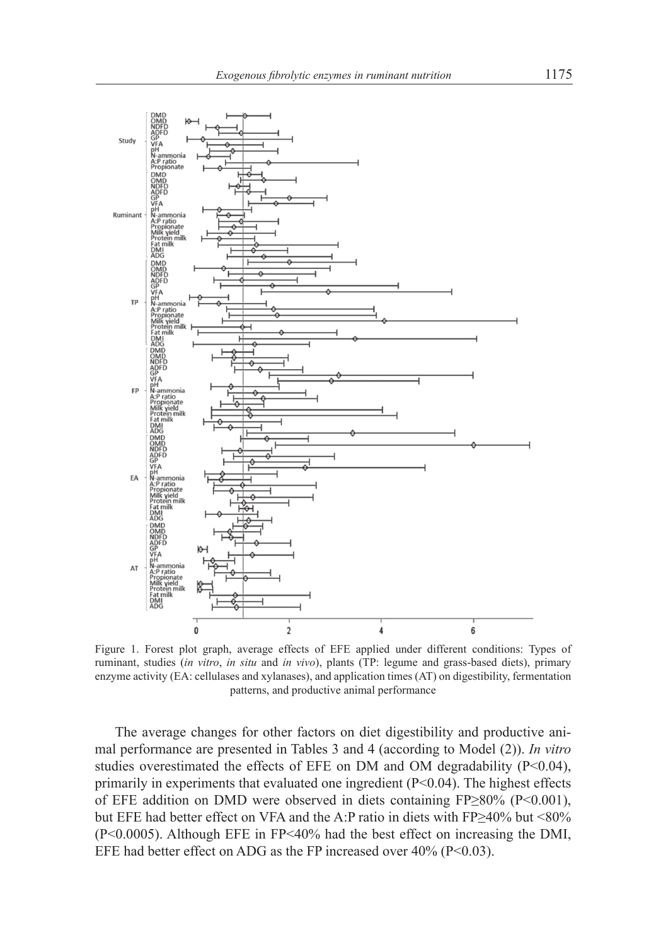

Figure 1. Forest plot graph, average effects of EFE applied under different conditions: Types of ruminant, studies (*in vitro*, *in situ* and *in vivo*), plants (TP: legume and grass-based diets), primary enzyme activity (EA: cellulases and xylanases), and application times (AT) on digestibility, fermentation patterns, and productive animal performance

The average changes for other factors on diet digestibility and productive animal performance are presented in Tables 3 and 4 (according to Model (2)). *In vitro* studies overestimated the effects of EFE on DM and OM degradability  $(P<0.04)$ , primarily in experiments that evaluated one ingredient  $(P<0.04)$ . The highest effects of EFE addition on DMD were observed in diets containing FP≥80% (P<0.001), but EFE had better effect on VFA and the A:P ratio in diets with FP≥40% but <80% (P<0.0005). Although EFE in FP<40% had the best effect on increasing the DMI, EFE had better effect on ADG as the FP increased over  $40\%$  (P<0.03).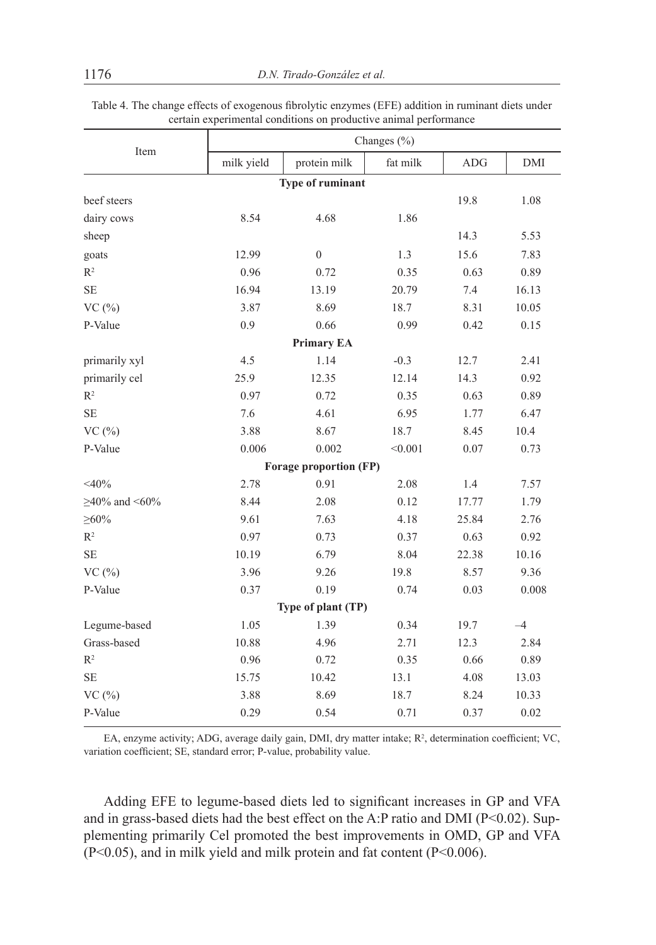| Item                |            |                        | Changes $(\% )$ |            |            |
|---------------------|------------|------------------------|-----------------|------------|------------|
|                     | milk yield | protein milk           | fat milk        | <b>ADG</b> | <b>DMI</b> |
|                     |            | Type of ruminant       |                 |            |            |
| beef steers         |            |                        |                 | 19.8       | 1.08       |
| dairy cows          | 8.54       | 4.68                   | 1.86            |            |            |
| sheep               |            |                        |                 | 14.3       | 5.53       |
| goats               | 12.99      | $\overline{0}$         | 1.3             | 15.6       | 7.83       |
| $\mathbb{R}^2$      | 0.96       | 0.72                   | 0.35            | 0.63       | 0.89       |
| <b>SE</b>           | 16.94      | 13.19                  | 20.79           | 7.4        | 16.13      |
| VC(%)               | 3.87       | 8.69                   | 18.7            | 8.31       | 10.05      |
| P-Value             | 0.9        | 0.66                   | 0.99            | 0.42       | 0.15       |
|                     |            | <b>Primary EA</b>      |                 |            |            |
| primarily xyl       | 4.5        | 1.14                   | $-0.3$          | 12.7       | 2.41       |
| primarily cel       | 25.9       | 12.35                  | 12.14           | 14.3       | 0.92       |
| R <sup>2</sup>      | 0.97       | 0.72                   | 0.35            | 0.63       | 0.89       |
| $\rm SE$            | 7.6        | 4.61                   | 6.95            | 1.77       | 6.47       |
| VC(%)               | 3.88       | 8.67                   | 18.7            | 8.45       | 10.4       |
| P-Value             | 0.006      | 0.002                  | < 0.001         | 0.07       | 0.73       |
|                     |            | Forage proportion (FP) |                 |            |            |
| $<$ 40%             | 2.78       | 0.91                   | 2.08            | 1.4        | 7.57       |
| $\geq$ 40% and <60% | 8.44       | 2.08                   | 0.12            | 17.77      | 1.79       |
| ${\geq}60\%$        | 9.61       | 7.63                   | 4.18            | 25.84      | 2.76       |
| R <sup>2</sup>      | 0.97       | 0.73                   | 0.37            | 0.63       | 0.92       |
| <b>SE</b>           | 10.19      | 6.79                   | 8.04            | 22.38      | 10.16      |
| VC(%)               | 3.96       | 9.26                   | 19.8            | 8.57       | 9.36       |
| P-Value             | 0.37       | 0.19                   | 0.74            | 0.03       | 0.008      |
|                     |            | Type of plant (TP)     |                 |            |            |
| Legume-based        | 1.05       | 1.39                   | 0.34            | 19.7       | $-4$       |
| Grass-based         | 10.88      | 4.96                   | 2.71            | 12.3       | 2.84       |
| R <sup>2</sup>      | 0.96       | 0.72                   | 0.35            | 0.66       | 0.89       |
| <b>SE</b>           | 15.75      | 10.42                  | 13.1            | 4.08       | 13.03      |
| VC(%)               | 3.88       | 8.69                   | 18.7            | 8.24       | 10.33      |
| P-Value             | 0.29       | 0.54                   | 0.71            | 0.37       | 0.02       |

Table 4. The change effects of exogenous fibrolytic enzymes (EFE) addition in ruminant diets under certain experimental conditions on productive animal performance

EA, enzyme activity; ADG, average daily gain, DMI, dry matter intake;  $R^2$ , determination coefficient; VC, variation coefficient; SE, standard error; P-value, probability value.

Adding EFE to legume-based diets led to significant increases in GP and VFA and in grass-based diets had the best effect on the A:P ratio and DMI (P<0.02). Supplementing primarily Cel promoted the best improvements in OMD, GP and VFA (P<0.05), and in milk yield and milk protein and fat content (P<0.006).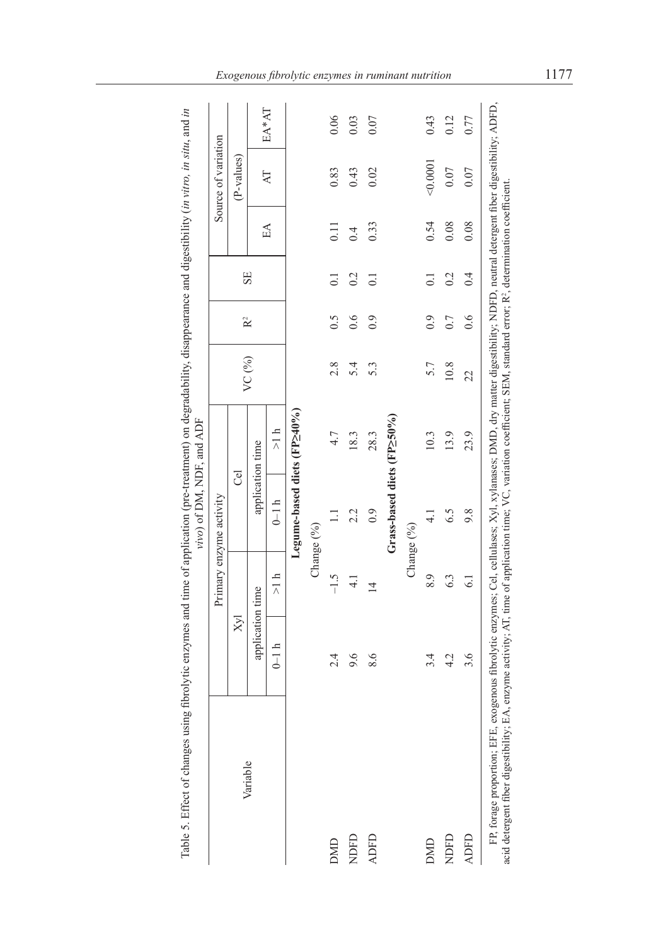|                                                                                                                                                                                                                                                                                                                                                                    |                  | Primary enzyme activity |                             |               |          |                |                  |                   | Source of variation |       |
|--------------------------------------------------------------------------------------------------------------------------------------------------------------------------------------------------------------------------------------------------------------------------------------------------------------------------------------------------------------------|------------------|-------------------------|-----------------------------|---------------|----------|----------------|------------------|-------------------|---------------------|-------|
| Variable                                                                                                                                                                                                                                                                                                                                                           | $X_{\text{M}}$   |                         | Tel                         |               |          | R <sup>2</sup> |                  |                   | (P-values)          |       |
|                                                                                                                                                                                                                                                                                                                                                                    | application time |                         | application time            |               | VC $(%)$ |                | SE               |                   |                     |       |
|                                                                                                                                                                                                                                                                                                                                                                    | $0-1 h$          | >1 h                    | $0-1 h$                     | $\frac{1}{2}$ |          |                |                  | $E\Lambda$        | $\overline{A}$      | EA*AT |
|                                                                                                                                                                                                                                                                                                                                                                    |                  |                         | Legume-based diets (FP240%) |               |          |                |                  |                   |                     |       |
|                                                                                                                                                                                                                                                                                                                                                                    |                  | Change (%)              |                             |               |          |                |                  |                   |                     |       |
| <b>DMD</b>                                                                                                                                                                                                                                                                                                                                                         | 2.4              | $-1.5$                  |                             | 4.7           | 2.8      | 0.5            | $\overline{0}$ . | $\overline{0.11}$ | 0.83                | 0.06  |
| NDFD                                                                                                                                                                                                                                                                                                                                                               | 9.6              | $\frac{1}{4}$           | 2.2                         | 18.3          | 5.4      | 0.6            | 0.2              | $\ddot{0}$        | 0.43                | 0.03  |
| <b>ADFD</b>                                                                                                                                                                                                                                                                                                                                                        | 8.6              | $\overline{4}$          | 0.9                         | 28.3          | 5.3      | 0.9            | $\overline{0}$ . | 0.33              | 0.02                | 0.07  |
|                                                                                                                                                                                                                                                                                                                                                                    |                  |                         | Grass-based diets (FP250%)  |               |          |                |                  |                   |                     |       |
|                                                                                                                                                                                                                                                                                                                                                                    |                  | Change (%)              |                             |               |          |                |                  |                   |                     |       |
| <b>DMD</b>                                                                                                                                                                                                                                                                                                                                                         | 3.4              | 8.9                     |                             | 10.3          | 5.7      | 0.9            | $\overline{0}$   | 0.54              | < 0.0001            | 0.43  |
| NDFD                                                                                                                                                                                                                                                                                                                                                               | 4.2              | 63                      | 6.5                         | 13.9          | 10.8     | 0.7            | 0.2              | 0.08              | 0.07                | 0.12  |
| <b>ADFD</b>                                                                                                                                                                                                                                                                                                                                                        | 3.6              | $\overline{61}$         | 9.8                         | 23.9          | 22       | 0.6            | 0.4              | 0.08              | 0.07                | 0.77  |
| FP, forage proportion; EFE, exogenous fibrolytic enzymes; Cel, cellulases; Xyl, xylanases; DMD, dry matter digestibility; NDFD, neutral detergent fiber digestibility; ADFD,<br>acid detergent fiber digestibility; EA, enzyme activity; AT, time of application time; VC, variation coefficient; SEM, standard error; R <sup>2</sup> , determination coefficient. |                  |                         |                             |               |          |                |                  |                   |                     |       |

Table 5. Effect of changes using fibrolytic enzymes and time of application (pre-treatment) on degradability, disappearance and digestibility (in vitro, in situ, and in Table 5. Effect of changes using fibrolytic enzymes and time of application (pre-treatment) on degradability, disappearance and digestibility (*in vitro, in situ*, and *in*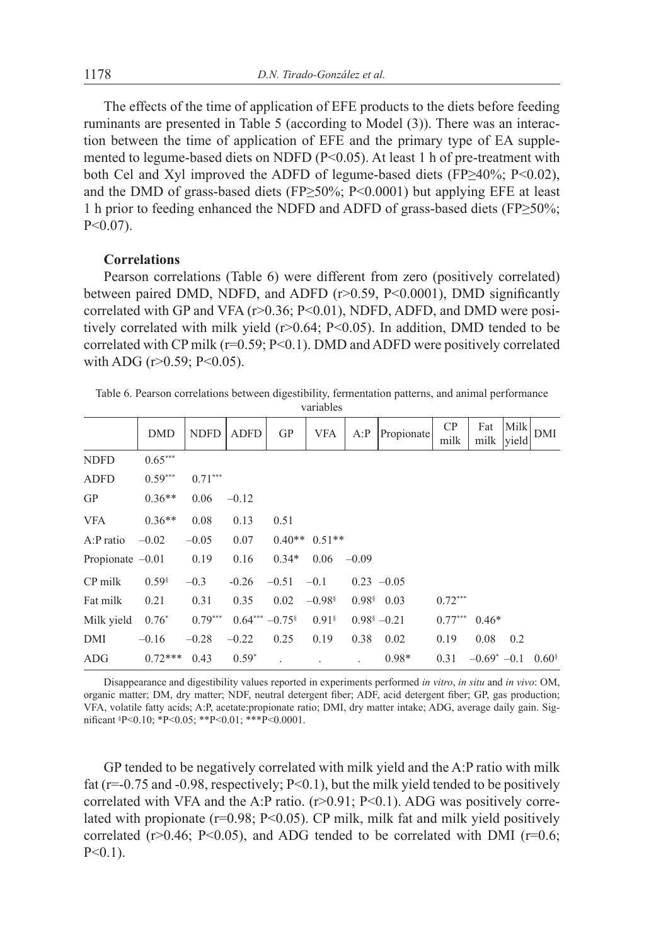The effects of the time of application of EFE products to the diets before feeding ruminants are presented in Table 5 (according to Model (3)). There was an interaction between the time of application of EFE and the primary type of EA supplemented to legume-based diets on NDFD (P<0.05). At least 1 h of pre-treatment with both Cel and Xyl improved the ADFD of legume-based diets (FP≥40%; P<0.02), and the DMD of grass-based diets (FP≥50%; P<0.0001) but applying EFE at least 1 h prior to feeding enhanced the NDFD and ADFD of grass-based diets (FP≥50%;  $P < 0.07$ ).

#### **Correlations**

Pearson correlations (Table 6) were different from zero (positively correlated) between paired DMD, NDFD, and ADFD (r>0.59, P<0.0001), DMD significantly correlated with GP and VFA ( $r > 0.36$ ;  $P < 0.01$ ), NDFD, ADFD, and DMD were positively correlated with milk yield (r>0.64; P<0.05). In addition, DMD tended to be correlated with CP milk ( $r=0.59$ ; P<0.1). DMD and ADFD were positively correlated with ADG ( $r > 0.59$ ;  $P < 0.05$ ).

Table 6. Pearson correlations between digestibility, fermentation patterns, and animal performance variables

|                    | <b>DMD</b>          | <b>NDFD</b> | <b>ADFD</b>     | GP      | <b>VFA</b>           | A: P    | Propionate                  | CP<br>milk | Fat<br>milk      | Milk<br>vield | DMI                 |
|--------------------|---------------------|-------------|-----------------|---------|----------------------|---------|-----------------------------|------------|------------------|---------------|---------------------|
| <b>NDFD</b>        | $0.65***$           |             |                 |         |                      |         |                             |            |                  |               |                     |
| <b>ADFD</b>        | $0.59***$           | $0.71***$   |                 |         |                      |         |                             |            |                  |               |                     |
| <b>GP</b>          | $0.36**$            | 0.06        | $-0.12$         |         |                      |         |                             |            |                  |               |                     |
| <b>VFA</b>         | $0.36**$            | 0.08        | 0.13            | 0.51    |                      |         |                             |            |                  |               |                     |
| $A$ : $P$ ratio    | $-0.02$             | $-0.05$     | 0.07            |         | $0.40**$ 0.51**      |         |                             |            |                  |               |                     |
| Propionate $-0.01$ |                     | 0.19        | 0.16            | $0.34*$ | 0.06                 | $-0.09$ |                             |            |                  |               |                     |
| CP milk            | $0.59$ <sup>§</sup> | $-0.3$      | $-0.26$         | $-0.51$ | $-0.1$               |         | $0.23 -0.05$                |            |                  |               |                     |
| Fat milk           | 0.21                | 0.31        | 0.35            | 0.02    | $-0.98$ <sup>§</sup> |         | $0.98$ <sup>§</sup> 0.03    | $0.72***$  |                  |               |                     |
| Milk yield         | $0.76*$             | $0.79***$   | $0.64***-0.75*$ |         | $0.91$ <sup>§</sup>  |         | $0.98$ <sup>§</sup> $-0.21$ | $0.77***$  | $0.46*$          |               |                     |
| DMI                | $-0.16$             | $-0.28$     | $-0.22$         | 0.25    | 0.19                 | 0.38    | 0.02                        | 0.19       | 0.08             | 0.2           |                     |
| <b>ADG</b>         | $0.72***$           | 0.43        | $0.59*$         |         |                      |         | $0.98*$                     | 0.31       | $-0.69^*$ $-0.1$ |               | $0.60$ <sup>§</sup> |

Disappearance and digestibility values reported in experiments performed *in vitro*, *in situ* and *in vivo*: OM, organic matter; DM, dry matter; NDF, neutral detergent fiber; ADF, acid detergent fiber; GP, gas production; VFA, volatile fatty acids; A:P, acetate:propionate ratio; DMI, dry matter intake; ADG, average daily gain. Significant § P<0.10; \*P<0.05; \*\*P<0.01; \*\*\*P<0.0001.

GP tended to be negatively correlated with milk yield and the A:P ratio with milk fat ( $r=0.75$  and  $-0.98$ , respectively;  $P<0.1$ ), but the milk yield tended to be positively correlated with VFA and the A:P ratio.  $(r>0.91; P<0.1)$ . ADG was positively correlated with propionate  $(r=0.98; P<0.05)$ . CP milk, milk fat and milk yield positively correlated ( $r > 0.46$ ; P<0.05), and ADG tended to be correlated with DMI ( $r = 0.6$ ;  $P < 0.1$ ).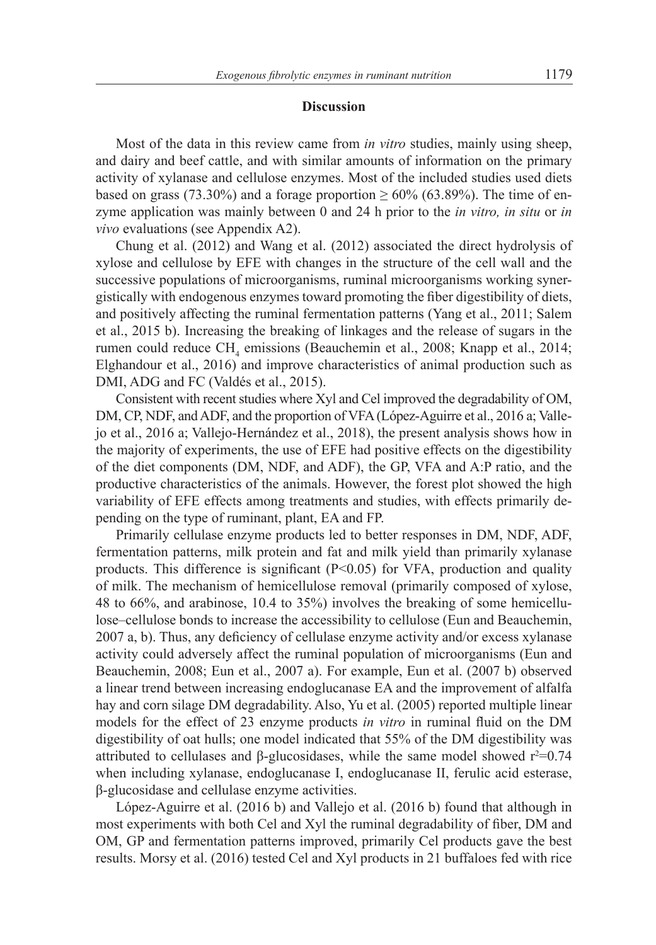#### **Discussion**

Most of the data in this review came from *in vitro* studies, mainly using sheep, and dairy and beef cattle, and with similar amounts of information on the primary activity of xylanase and cellulose enzymes. Most of the included studies used diets based on grass (73.30%) and a forage proportion  $\geq 60\%$  (63.89%). The time of enzyme application was mainly between 0 and 24 h prior to the *in vitro, in situ* or *in vivo* evaluations (see Appendix A2).

Chung et al. (2012) and Wang et al. (2012) associated the direct hydrolysis of xylose and cellulose by EFE with changes in the structure of the cell wall and the successive populations of microorganisms, ruminal microorganisms working synergistically with endogenous enzymes toward promoting the fiber digestibility of diets, and positively affecting the ruminal fermentation patterns (Yang et al., 2011; Salem et al., 2015 b). Increasing the breaking of linkages and the release of sugars in the rumen could reduce CH<sub>4</sub> emissions (Beauchemin et al., 2008; Knapp et al., 2014; Elghandour et al., 2016) and improve characteristics of animal production such as DMI, ADG and FC (Valdés et al., 2015).

Consistent with recent studies where Xyl and Cel improved the degradability of OM, DM, CP, NDF, and ADF, and the proportion of VFA (López-Aguirre et al., 2016 a; Vallejo et al., 2016 a; Vallejo-Hernández et al., 2018), the present analysis shows how in the majority of experiments, the use of EFE had positive effects on the digestibility of the diet components (DM, NDF, and ADF), the GP, VFA and A:P ratio, and the productive characteristics of the animals. However, the forest plot showed the high variability of EFE effects among treatments and studies, with effects primarily depending on the type of ruminant, plant, EA and FP.

Primarily cellulase enzyme products led to better responses in DM, NDF, ADF, fermentation patterns, milk protein and fat and milk yield than primarily xylanase products. This difference is significant  $(P<0.05)$  for VFA, production and quality of milk. The mechanism of hemicellulose removal (primarily composed of xylose, 48 to 66%, and arabinose, 10.4 to 35%) involves the breaking of some hemicellulose–cellulose bonds to increase the accessibility to cellulose (Eun and Beauchemin, 2007 a, b). Thus, any deficiency of cellulase enzyme activity and/or excess xylanase activity could adversely affect the ruminal population of microorganisms (Eun and Beauchemin, 2008; Eun et al., 2007 a). For example, Eun et al. (2007 b) observed a linear trend between increasing endoglucanase EA and the improvement of alfalfa hay and corn silage DM degradability. Also, Yu et al. (2005) reported multiple linear models for the effect of 23 enzyme products *in vitro* in ruminal fluid on the DM digestibility of oat hulls; one model indicated that 55% of the DM digestibility was attributed to cellulases and β-glucosidases, while the same model showed  $r^2=0.74$ when including xylanase, endoglucanase I, endoglucanase II, ferulic acid esterase, β-glucosidase and cellulase enzyme activities.

López-Aguirre et al. (2016 b) and Vallejo et al. (2016 b) found that although in most experiments with both Cel and Xyl the ruminal degradability of fiber, DM and OM, GP and fermentation patterns improved, primarily Cel products gave the best results. Morsy et al. (2016) tested Cel and Xyl products in 21 buffaloes fed with rice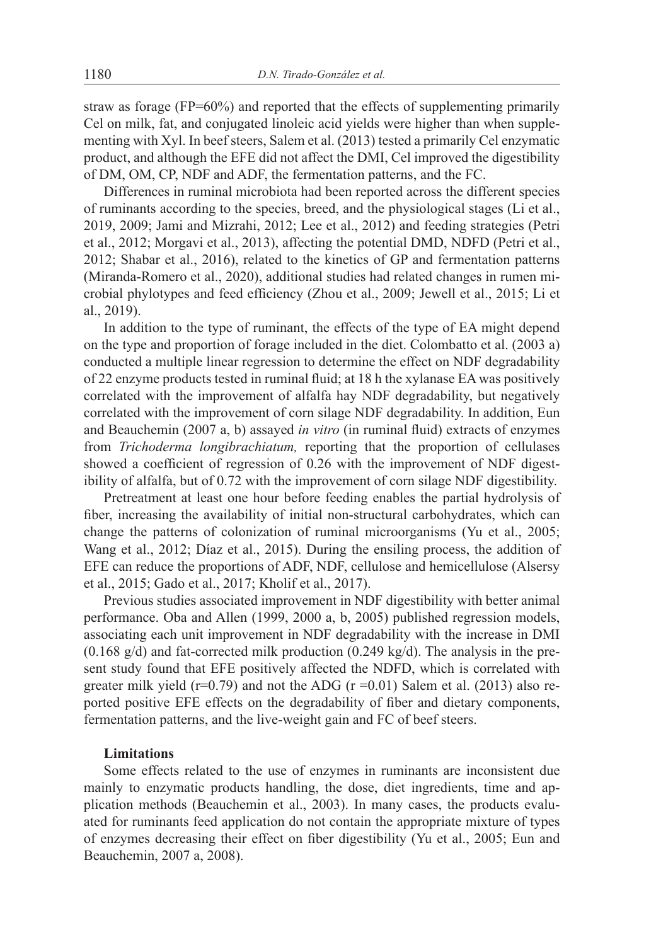straw as forage (FP=60%) and reported that the effects of supplementing primarily Cel on milk, fat, and conjugated linoleic acid yields were higher than when supplementing with Xyl. In beef steers, Salem et al. (2013) tested a primarily Cel enzymatic product, and although the EFE did not affect the DMI, Cel improved the digestibility of DM, OM, CP, NDF and ADF, the fermentation patterns, and the FC.

Differences in ruminal microbiota had been reported across the different species of ruminants according to the species, breed, and the physiological stages (Li et al., 2019, 2009; Jami and Mizrahi, 2012; Lee et al., 2012) and feeding strategies (Petri et al., 2012; Morgavi et al., 2013), affecting the potential DMD, NDFD (Petri et al., 2012; Shabar et al., 2016), related to the kinetics of GP and fermentation patterns (Miranda-Romero et al., 2020), additional studies had related changes in rumen microbial phylotypes and feed efficiency (Zhou et al., 2009; Jewell et al., 2015; Li et al., 2019).

In addition to the type of ruminant, the effects of the type of EA might depend on the type and proportion of forage included in the diet. Colombatto et al. (2003 a) conducted a multiple linear regression to determine the effect on NDF degradability of 22 enzyme products tested in ruminal fluid; at 18 h the xylanase EA was positively correlated with the improvement of alfalfa hay NDF degradability, but negatively correlated with the improvement of corn silage NDF degradability. In addition, Eun and Beauchemin (2007 a, b) assayed *in vitro* (in ruminal fluid) extracts of enzymes from *Trichoderma longibrachiatum,* reporting that the proportion of cellulases showed a coefficient of regression of 0.26 with the improvement of NDF digestibility of alfalfa, but of 0.72 with the improvement of corn silage NDF digestibility.

Pretreatment at least one hour before feeding enables the partial hydrolysis of fiber, increasing the availability of initial non-structural carbohydrates, which can change the patterns of colonization of ruminal microorganisms (Yu et al., 2005; Wang et al., 2012; Díaz et al., 2015). During the ensiling process, the addition of EFE can reduce the proportions of ADF, NDF, cellulose and hemicellulose (Alsersy et al., 2015; Gado et al., 2017; Kholif et al., 2017).

Previous studies associated improvement in NDF digestibility with better animal performance. Oba and Allen (1999, 2000 a, b, 2005) published regression models, associating each unit improvement in NDF degradability with the increase in DMI (0.168 g/d) and fat-corrected milk production (0.249 kg/d). The analysis in the present study found that EFE positively affected the NDFD, which is correlated with greater milk yield ( $r=0.79$ ) and not the ADG ( $r=0.01$ ) Salem et al. (2013) also reported positive EFE effects on the degradability of fiber and dietary components, fermentation patterns, and the live-weight gain and FC of beef steers.

# **Limitations**

Some effects related to the use of enzymes in ruminants are inconsistent due mainly to enzymatic products handling, the dose, diet ingredients, time and application methods (Beauchemin et al., 2003). In many cases, the products evaluated for ruminants feed application do not contain the appropriate mixture of types of enzymes decreasing their effect on fiber digestibility (Yu et al., 2005; Eun and Beauchemin, 2007 a, 2008).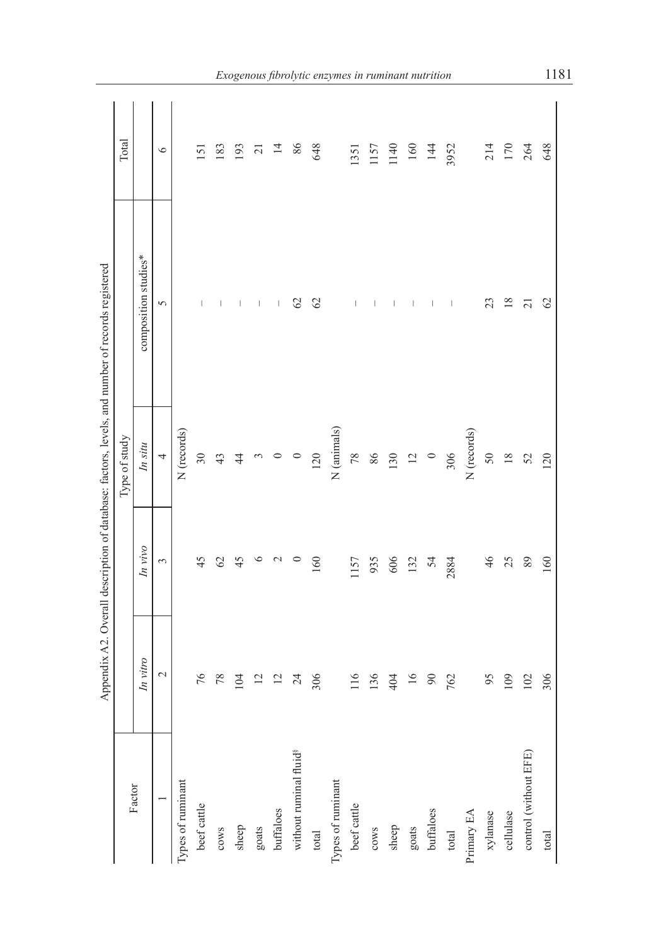|                                    |                 |                 |                | Appendix A2. Overall description of database: factors, levels, and number of records registered |                 |
|------------------------------------|-----------------|-----------------|----------------|-------------------------------------------------------------------------------------------------|-----------------|
|                                    |                 |                 | Type of study  |                                                                                                 | Total           |
| Factor                             | In vitro        | In vivo         | In situ        | composition studies*                                                                            |                 |
|                                    | $\sim$          | 3               | $\overline{a}$ | 5                                                                                               | $\circ$         |
| Types of ruminant                  |                 |                 | N (records)    |                                                                                                 |                 |
| beef cattle                        | 76              | 45              | 30             |                                                                                                 | 151             |
| $_{\rm{cows}}$                     | 78              | $\mathcal{O}$   | 43             | $\overline{\phantom{a}}$                                                                        | 183             |
| sheep                              | 104             | 45              | $\frac{4}{4}$  | I                                                                                               | 93              |
| goats                              | $\overline{c}$  | $\circ$         | $\sim$         | $\overline{\phantom{a}}$                                                                        | $\overline{21}$ |
| buffaloes                          | $\overline{c}$  | $\mathbf{\sim}$ | $\circ$        | I                                                                                               | $\overline{4}$  |
| without ruminal fluid <sup>8</sup> | $\overline{24}$ | $\circ$         | $\circ$        | $\mathcal{O}$                                                                                   | 86              |
| total                              | 306             | 160             | 120            | 62                                                                                              | 648             |
| Types of ruminant                  |                 |                 | N (animals)    |                                                                                                 |                 |
| beef cattle                        | 116             | 1157            | 78             | I                                                                                               | 1351            |
| $_{\rm{cows}}$                     | 136             | 935             | 86             | I                                                                                               | 1157            |
| sheep                              | 404             | 606             | 130            | I                                                                                               | 1140            |
| goats                              | $\overline{16}$ | 132             | 12             | I                                                                                               | 160             |
| buffaloes                          | $\infty$        | 54              | $\circ$        | $\overline{\phantom{a}}$                                                                        | 144             |
| total                              | 762             | 2884            | 306            | $\begin{array}{c} \hline \end{array}$                                                           | 3952            |
| Primary EA                         |                 |                 | N (records)    |                                                                                                 |                 |
| xylanase                           | 95              | 46              | 50             | 23                                                                                              | 214             |
| cellulase                          | 109             | 25              | 18             | 18                                                                                              | 170             |
| control (without EFE)              | 102             | 89              | 52             | $\overline{c}$                                                                                  | 264             |
| total                              | 306             | 160             | 120            | 62                                                                                              | 648             |
|                                    |                 |                 |                |                                                                                                 |                 |

*Exogenous fibrolytic enzymes in ruminant nutrition* 1181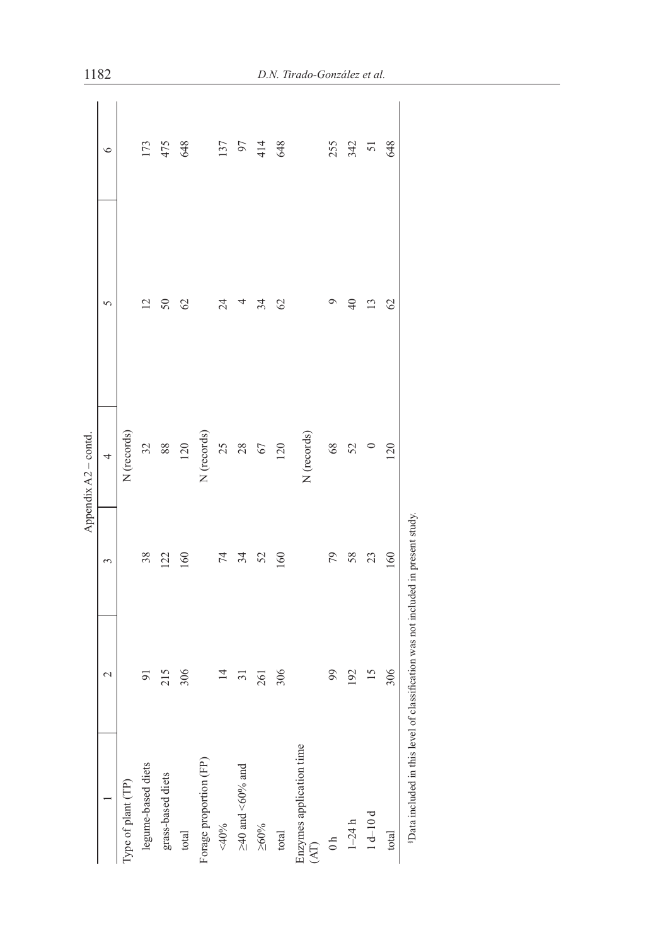| $\mathbf{\sim}$ | 3   | 4                                                                                             | 5                    | $\circ$ |
|-----------------|-----|-----------------------------------------------------------------------------------------------|----------------------|---------|
|                 |     | N (records)                                                                                   |                      |         |
| 5               | 38  | 32                                                                                            | $\bar{\omega}$       | 173     |
| 215             | 122 | 88                                                                                            | $\Im$                | 475     |
| 306             | 160 | 120                                                                                           | $\infty$             | 648     |
|                 |     | N (records)                                                                                   |                      |         |
| $\overline{4}$  | 74  | 25                                                                                            | 24                   | 137     |
| ᆕ               | 34  | 28                                                                                            |                      | 97      |
| 261             | 52  | 67                                                                                            | 34                   | 414     |
| 306             | 160 | 120                                                                                           | $\heartsuit$         | 648     |
|                 |     | N (records)                                                                                   |                      |         |
| 99              | 79  | 68                                                                                            | ਼                    | 255     |
| 192             | 58  | 52                                                                                            | $\frac{1}{2}$        | 342     |
| 15              | 23  |                                                                                               | ⋍                    | 5       |
| 306             | 160 | 120                                                                                           | $\mathcal{O}$        | 648     |
|                 |     |                                                                                               |                      |         |
|                 |     | <sup>8</sup> Data included in this level of classification was not included in present study. | Appendix A2 - contd. |         |

1182 *D.N. Tirado-González et al.*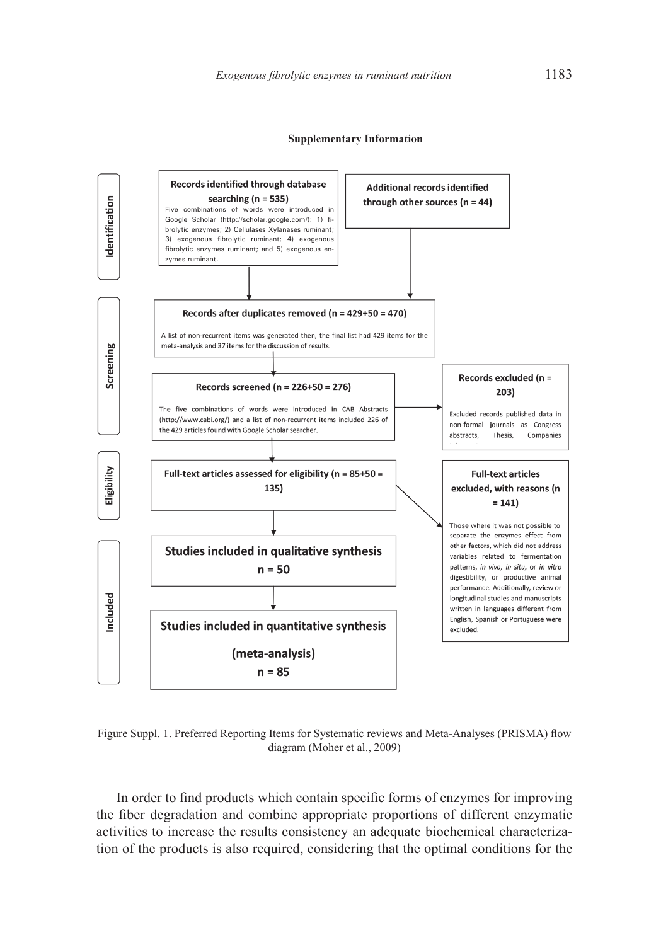

Figure Suppl. 1. Preferred Reporting Items for Systematic reviews and Meta-Analyses (PRISMA) flow diagram (Moher et al., 2009)

In order to find products which contain specific forms of enzymes for improving the fiber degradation and combine appropriate proportions of different enzymatic activities to increase the results consistency an adequate biochemical characterization of the products is also required, considering that the optimal conditions for the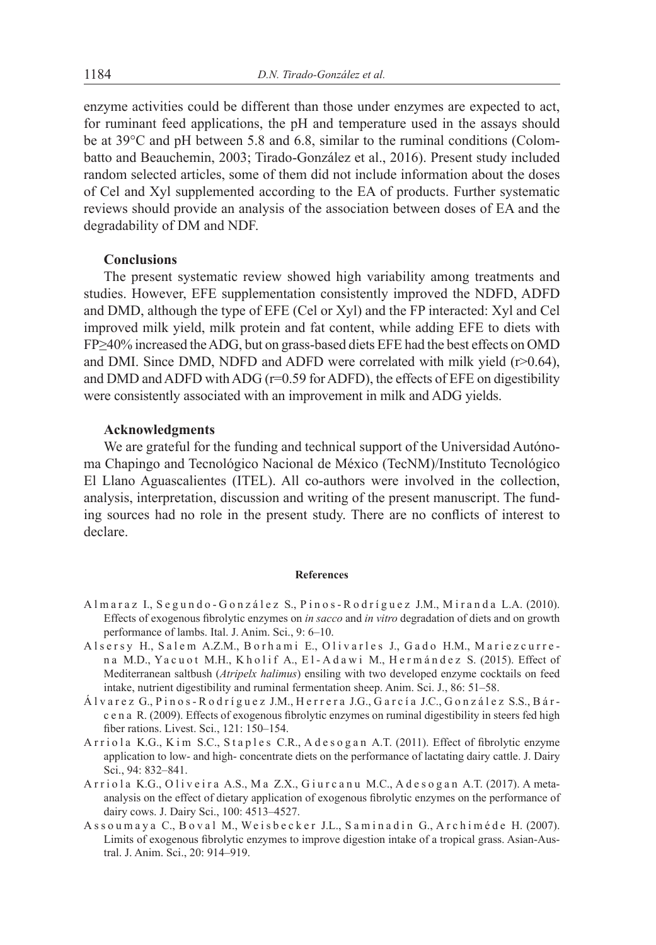enzyme activities could be different than those under enzymes are expected to act, for ruminant feed applications, the pH and temperature used in the assays should be at 39°C and pH between 5.8 and 6.8, similar to the ruminal conditions (Colombatto and Beauchemin, 2003; Tirado-González et al., 2016). Present study included random selected articles, some of them did not include information about the doses of Cel and Xyl supplemented according to the EA of products. Further systematic reviews should provide an analysis of the association between doses of EA and the degradability of DM and NDF.

# **Conclusions**

The present systematic review showed high variability among treatments and studies. However, EFE supplementation consistently improved the NDFD, ADFD and DMD, although the type of EFE (Cel or Xyl) and the FP interacted: Xyl and Cel improved milk yield, milk protein and fat content, while adding EFE to diets with FP≥40% increased the ADG, but on grass-based diets EFE had the best effects on OMD and DMI. Since DMD, NDFD and ADFD were correlated with milk yield (r>0.64), and DMD and ADFD with ADG (r=0.59 for ADFD), the effects of EFE on digestibility were consistently associated with an improvement in milk and ADG yields.

#### **Acknowledgments**

We are grateful for the funding and technical support of the Universidad Autónoma Chapingo and Tecnológico Nacional de México (TecNM)/Instituto Tecnológico El Llano Aguascalientes (ITEL). All co-authors were involved in the collection, analysis, interpretation, discussion and writing of the present manuscript. The funding sources had no role in the present study. There are no conflicts of interest to declare.

#### **References**

- A l m a r a z I., S e g u n d o G o n z á l e z S., P i n o s R o d r í gu e z J.M., M i r a n d a L.A. (2010). Effects of exogenous fibrolytic enzymes on *in sacco* and *in vitro* degradation of diets and on growth performance of lambs. Ital. J. Anim. Sci., 9: 6–10.
- A l s e r s y H., S a l e m A.Z.M., B o r h a m i E., O livarles J., G a do H.M., M a riez currena M.D., Yacuot M.H., Kholif A., El-Adawi M., Hermández S. (2015). Effect of Mediterranean saltbush (*Atripelx halimus*) ensiling with two developed enzyme cocktails on feed intake, nutrient digestibility and ruminal fermentation sheep. Anim. Sci. J., 86: 51–58.
- Á l v a r e z G., P i n o s R o d r í gu e z J.M., H e r r e r a J.G., G a r c í a J.C., G o n z á l e z S.S., B á r c e n a R. (2009). Effects of exogenous fibrolytic enzymes on ruminal digestibility in steers fed high fiber rations. Livest. Sci., 121: 150–154.
- A r r i o l a K.G., K i m S.C., S t a p l e s C.R., A d e s o g a n A.T. (2011). Effect of fibrolytic enzyme application to low- and high- concentrate diets on the performance of lactating dairy cattle. J. Dairy Sci., 94: 832–841.
- A r riola K.G., Oliveira A.S., Ma Z.X., Giurcanu M.C., A desogan A.T. (2017). A metaanalysis on the effect of dietary application of exogenous fibrolytic enzymes on the performance of dairy cows. J. Dairy Sci., 100: 4513–4527.
- Assoumaya C., Boval M., Weisbecker J.L., Saminadin G., Archiméde H. (2007). Limits of exogenous fibrolytic enzymes to improve digestion intake of a tropical grass. Asian-Austral. J. Anim. Sci., 20: 914–919.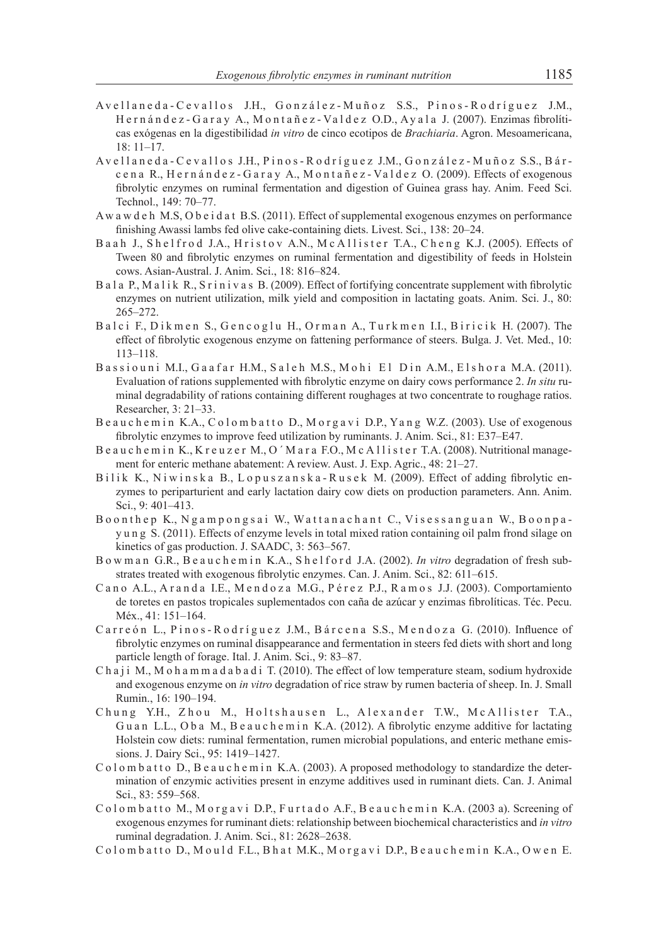- A v e l l a n e d a C e v a l l o s J.H., G o n z á l e z M u ñ o z S.S., P i n o s R o d r í gu e z J.M., H e r n á n d e z - G a r a y A., M o n t a ñ e z - Va l d e z O.D., Ay a l a J. (2007). Enzimas fibrolíticas exógenas en la digestibilidad *in vitro* de cinco ecotipos de *Brachiaria*. Agron. Mesoamericana, 18: 11–17.
- A v e l l a n e d a C e v a l l o s J.H., P i n o s R o d r í gu e z J.M., G o n z á l e z M u ñ o z S.S., B á r c e n a R., H e r n á n d e z - G a r a y A., M o n t a ñ e z - Val d e z O. (2009). Effects of exogenous fibrolytic enzymes on ruminal fermentation and digestion of Guinea grass hay. Anim. Feed Sci. Technol., 149: 70–77.
- Aw a w d e h M.S, O b e i d a t B.S. (2011). Effect of supplemental exogenous enzymes on performance finishing Awassi lambs fed olive cake-containing diets. Livest. Sci., 138: 20–24.
- B a a h J., Sh e l frod J.A., Hristov A.N., Mc Allister T.A., Cheng K.J. (2005). Effects of Tween 80 and fibrolytic enzymes on ruminal fermentation and digestibility of feeds in Holstein cows. Asian-Austral. J. Anim. Sci., 18: 816–824.
- B a l a P., M a l i k R., S r i n i v a s B. (2009). Effect of fortifying concentrate supplement with fibrolytic enzymes on nutrient utilization, milk yield and composition in lactating goats. Anim. Sci. J., 80: 265–272.
- Balci F., Dikmen S., Gencoglu H., Orman A., Turkmen I.I., Biricik H. (2007). The effect of fibrolytic exogenous enzyme on fattening performance of steers. Bulga. J. Vet. Med., 10: 113–118.
- Bassiouni M.I., Gaafar H.M., Saleh M.S., Mohi El Din A.M., Elshora M.A. (2011). Evaluation of rations supplemented with fibrolytic enzyme on dairy cows performance 2. *In situ* ruminal degradability of rations containing different roughages at two concentrate to roughage ratios. Researcher, 3: 21–33.
- B e au c h e m in K.A., C o l o m b a t t o D., M o r g a v i D.P., Y a n g W.Z. (2003). Use of exogenous fibrolytic enzymes to improve feed utilization by ruminants. J. Anim. Sci., 81: E37–E47.
- Be auchemin K., Kreuzer M., O'Mara F.O., McAllister T.A. (2008). Nutritional management for enteric methane abatement: A review. Aust. J. Exp. Agric., 48: 21–27.
- Bilik K., Niwinska B., Lopuszanska-Rusek M. (2009). Effect of adding fibrolytic enzymes to periparturient and early lactation dairy cow diets on production parameters. Ann. Anim. Sci., 9: 401–413.
- Boonthep K., Ngampongsai W., Wattanachant C., Visessanguan W., Boonpay u n g S. (2011). Effects of enzyme levels in total mixed ration containing oil palm frond silage on kinetics of gas production. J. SAADC, 3: 563–567.
- B o w m a n G.R., B e a u c h e m i n K.A., S h e l f o r d J.A. (2002). *In vitro* degradation of fresh substrates treated with exogenous fibrolytic enzymes. Can. J. Anim. Sci., 82: 611–615.
- C a n o A.L., A r a n d a I.E., M e n d o z a M.G., P é r e z P.J., R a m o s J.J. (2003). Comportamiento de toretes en pastos tropicales suplementados con caña de azúcar y enzimas fibrolíticas. Téc. Pecu. Méx., 41: 151–164.
- Carreón L., Pinos-Rodríguez J.M., Bárcena S.S., Mendoza G. (2010). Influence of fibrolytic enzymes on ruminal disappearance and fermentation in steers fed diets with short and long particle length of forage. Ital. J. Anim. Sci., 9: 83–87.
- C h a j i M., M o h a m m a d a b a d i T. (2010). The effect of low temperature steam, sodium hydroxide and exogenous enzyme on *in vitro* degradation of rice straw by rumen bacteria of sheep. In. J. Small Rumin., 16: 190–194.
- Chung Y.H., Zhou M., Holtshausen L., Alexander T.W., McAllister T.A., Guan L.L., Oba M., Beauchemin K.A. (2012). A fibrolytic enzyme additive for lactating Holstein cow diets: ruminal fermentation, rumen microbial populations, and enteric methane emissions. J. Dairy Sci., 95: 1419–1427.
- C o l o m b a t t o D., B e a u c h e m i n K.A. (2003). A proposed methodology to standardize the determination of enzymic activities present in enzyme additives used in ruminant diets. Can. J. Animal Sci., 83: 559–568.
- C o l o m b a t t o M., M o r g a v i D.P., Furtado A.F., B e au c h e m in K.A. (2003 a). Screening of exogenous enzymes for ruminant diets: relationship between biochemical characteristics and *in vitro* ruminal degradation. J. Anim. Sci., 81: 2628–2638.
- C o l o m b a t t o D., M o u l d F.L., B h a t M.K., M o r g a v i D.P., B e a u c h e m i n K.A., O w e n E.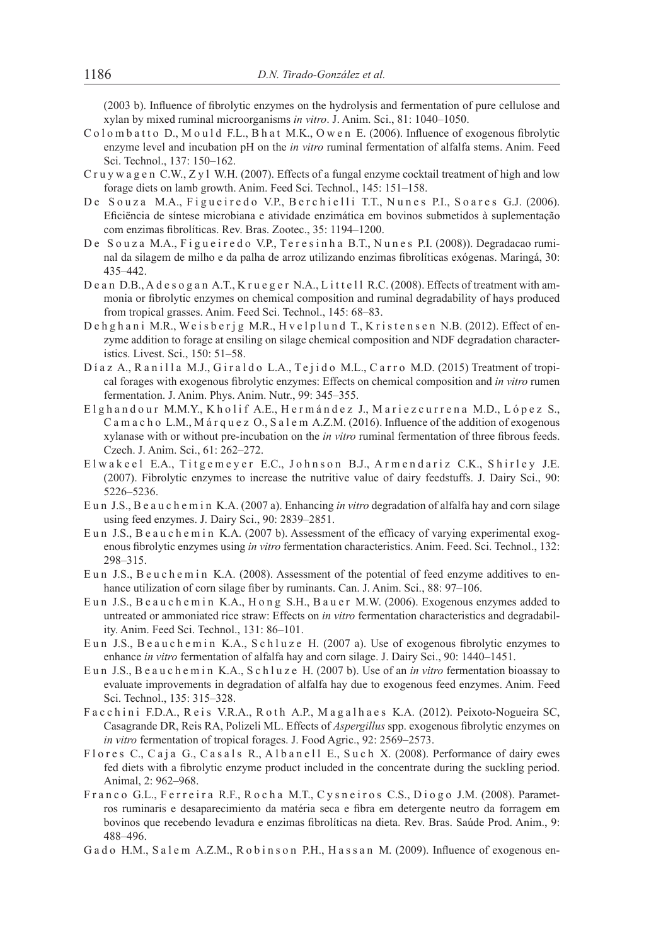(2003 b). Influence of fibrolytic enzymes on the hydrolysis and fermentation of pure cellulose and xylan by mixed ruminal microorganisms *in vitro*. J. Anim. Sci., 81: 1040–1050.

- C o l o m b a t t o D., M o u l d F.L., B h a t M.K., O w e n E. (2006). Influence of exogenous fibrolytic enzyme level and incubation pH on the *in vitro* ruminal fermentation of alfalfa stems. Anim. Feed Sci. Technol., 137: 150–162.
- C r u y w a g e n C.W.,  $Z y l$  W.H. (2007). Effects of a fungal enzyme cocktail treatment of high and low forage diets on lamb growth. Anim. Feed Sci. Technol., 145: 151–158.
- De Souza M.A., Figueiredo V.P., Berchielli T.T., Nunes P.I., Soares G.J. (2006). Eficiëncia de síntese microbiana e atividade enzimática em bovinos submetidos à suplementação com enzimas fibrolíticas. Rev. Bras. Zootec., 35: 1194–1200.
- De Souza M.A., Figueiredo V.P., Teresinha B.T., Nunes P.I. (2008)). Degradacao ruminal da silagem de milho e da palha de arroz utilizando enzimas fibrolíticas exógenas. Maringá, 30: 435–442.
- De an D.B., A desog an A.T., K rueger N.A., L it tell R.C. (2008). Effects of treatment with ammonia or fibrolytic enzymes on chemical composition and ruminal degradability of hays produced from tropical grasses. Anim. Feed Sci. Technol., 145: 68–83.
- De h g h a n i M.R., We i s b e r j g M.R., H v e l p l u n d T., K r i s t e n s e n N.B. (2012). Effect of enzyme addition to forage at ensiling on silage chemical composition and NDF degradation characteristics. Livest. Sci., 150: 51–58.
- Díaz A., Ranilla M.J., Giraldo L.A., Tejido M.L., Carro M.D. (2015) Treatment of tropical forages with exogenous fibrolytic enzymes: Effects on chemical composition and *in vitro* rumen fermentation. J. Anim. Phys. Anim. Nutr., 99: 345–355.
- Elghandour M.M.Y., Kholif A.E., Hermández J., Mariezcurrena M.D., López S., C a m a c h o L.M., M á r q u e z O., S a l e m A.Z.M. (2016). Influence of the addition of exogenous xylanase with or without pre-incubation on the *in vitro* ruminal fermentation of three fibrous feeds. Czech. J. Anim. Sci., 61: 262–272.
- E lwakeel E.A., Titgemeyer E.C., Johnson B.J., Armendariz C.K., Shirley J.E. (2007). Fibrolytic enzymes to increase the nutritive value of dairy feedstuffs. J. Dairy Sci., 90: 5226–5236.
- E u n J.S., B e a u c h e m i n K.A. (2007 a). Enhancing *in vitro* degradation of alfalfa hay and corn silage using feed enzymes. J. Dairy Sci., 90: 2839–2851.
- Eun J.S., Beauchemin K.A. (2007 b). Assessment of the efficacy of varying experimental exogenous fibrolytic enzymes using *in vitro* fermentation characteristics. Anim. Feed. Sci. Technol., 132: 298–315.
- Eun J.S., B e u c h e m in K.A. (2008). Assessment of the potential of feed enzyme additives to enhance utilization of corn silage fiber by ruminants. Can. J. Anim. Sci., 88: 97–106.
- Eun J.S., Beauchemin K.A., Hong S.H., Bauer M.W. (2006). Exogenous enzymes added to untreated or ammoniated rice straw: Effects on *in vitro* fermentation characteristics and degradability. Anim. Feed Sci. Technol., 131: 86–101.
- Eun J.S., Beauchemin K.A., Schluze H. (2007 a). Use of exogenous fibrolytic enzymes to enhance *in vitro* fermentation of alfalfa hay and corn silage. J. Dairy Sci., 90: 1440–1451.
- Eun J.S., Beauchemin K.A., Schluze H. (2007 b). Use of an *in vitro* fermentation bioassay to evaluate improvements in degradation of alfalfa hay due to exogenous feed enzymes. Anim. Feed Sci. Technol., 135: 315–328.
- Facchini F.D.A., Reis V.R.A., Roth A.P., Magalhaes K.A. (2012). Peixoto-Nogueira SC, Casagrande DR, Reis RA, Polizeli ML. Effects of *Aspergillus* spp. exogenous fibrolytic enzymes on *in vitro* fermentation of tropical forages. J. Food Agric., 92: 2569–2573.
- Flores C., Caja G., Casals R., Albanell E., Such X. (2008). Performance of dairy ewes fed diets with a fibrolytic enzyme product included in the concentrate during the suckling period. Animal, 2: 962–968.
- Franco G.L., Ferreira R.F., Rocha M.T., Cysneiros C.S., Diogo J.M. (2008). Parametros ruminaris e desaparecimiento da matéria seca e fibra em detergente neutro da forragem em bovinos que recebendo levadura e enzimas fibrolíticas na dieta. Rev. Bras. Saúde Prod. Anim., 9: 488–496.
- Gado H.M., Salem A.Z.M., Robinson P.H., Hassan M. (2009). Influence of exogenous en-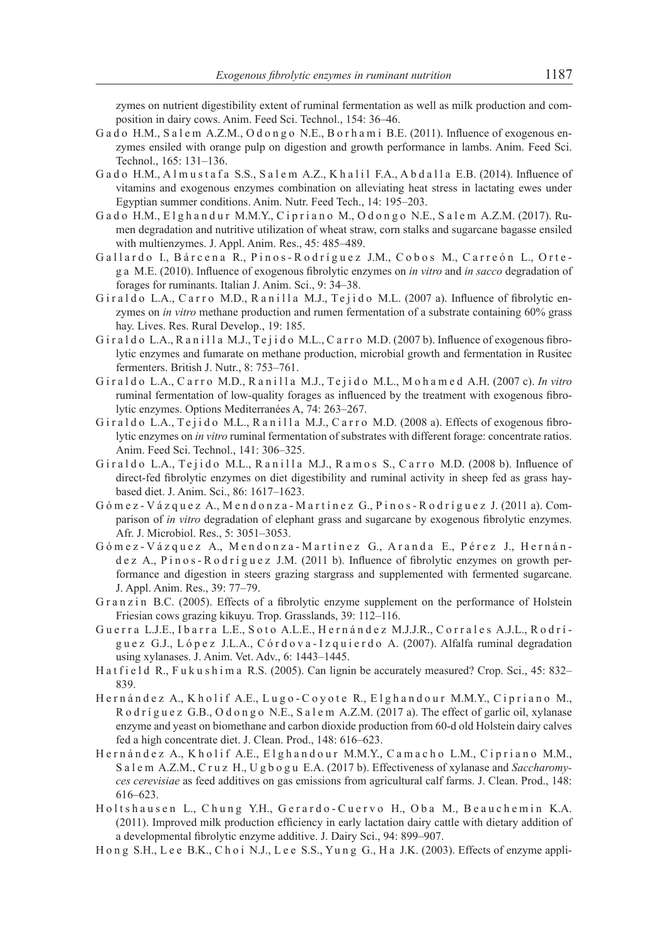zymes on nutrient digestibility extent of ruminal fermentation as well as milk production and composition in dairy cows. Anim. Feed Sci. Technol., 154: 36–46.

- G a d o H.M., S a l e m A.Z.M., O d o n g o N.E., B o r h a m i B.E. (2011). Influence of exogenous enzymes ensiled with orange pulp on digestion and growth performance in lambs. Anim. Feed Sci. Technol., 165: 131–136.
- Gado H.M., A l mustafa S.S., Salem A.Z., K halil F.A., A b dalla E.B. (2014). Influence of vitamins and exogenous enzymes combination on alleviating heat stress in lactating ewes under Egyptian summer conditions. Anim. Nutr. Feed Tech., 14: 195–203.
- Gado H.M., Elghandur M.M.Y., Cipriano M., Odongo N.E., Salem A.Z.M. (2017). Rumen degradation and nutritive utilization of wheat straw, corn stalks and sugarcane bagasse ensiled with multienzymes. J. Appl. Anim. Res., 45: 485–489.
- Gallardo I., Bárcena R., Pinos-Rodríguez J.M., Cobos M., Carreón L., Orteg a M.E. (2010). Influence of exogenous fibrolytic enzymes on *in vitro* and *in sacco* degradation of forages for ruminants. Italian J. Anim. Sci., 9: 34–38.
- G i r a l d o L.A., C a r r o M.D., R a n i l l a M.J., T e j i d o M.L. (2007 a). Influence of fibrolytic enzymes on *in vitro* methane production and rumen fermentation of a substrate containing 60% grass hay. Lives. Res. Rural Develop., 19: 185.
- G i r a l d o L.A., R a n i l l a M.J., T e j i d o M.L., C a r r o M.D. (2007 b). Influence of exogenous fibrolytic enzymes and fumarate on methane production, microbial growth and fermentation in Rusitec fermenters. British J. Nutr., 8: 753–761.
- G i r a l d o L.A., C a r r o M.D., R a n i l l a M.J., T e j i d o M.L., M o h a m e d A.H. (2007 c). *In vitro* ruminal fermentation of low-quality forages as influenced by the treatment with exogenous fibrolytic enzymes. Options Mediterranées A, 74: 263–267.
- G i r a l d o L.A., T e j i d o M.L., R a n i l l a M.J., C a r r o M.D. (2008 a). Effects of exogenous fibrolytic enzymes on *in vitro* ruminal fermentation of substrates with different forage: concentrate ratios. Anim. Feed Sci. Technol., 141: 306–325.
- Giraldo L.A., Tejido M.L., Ranilla M.J., Ramos S., Carro M.D. (2008 b). Influence of direct-fed fibrolytic enzymes on diet digestibility and ruminal activity in sheep fed as grass haybased diet. J. Anim. Sci., 86: 1617–1623.
- G ó m e z V á z q u e z A., M e n d o n z a M a r t í n e z G., P i n o s R o d r í g u e z J. (2011 a). Comparison of *in vitro* degradation of elephant grass and sugarcane by exogenous fibrolytic enzymes. Afr. J. Microbiol. Res., 5: 3051–3053.
- Gómez-Vázquez A., Mendonza-Martínez G., Aranda E., Pérez J., Hernández A., Pinos-Rodríguez J.M. (2011 b). Influence of fibrolytic enzymes on growth performance and digestion in steers grazing stargrass and supplemented with fermented sugarcane. J. Appl. Anim. Res., 39: 77–79.
- G r a n z in B.C. (2005). Effects of a fibrolytic enzyme supplement on the performance of Holstein Friesian cows grazing kikuyu. Trop. Grasslands, 39: 112–116.
- Guerra L.J.E., Ibarra L.E., Soto A.L.E., Hernández M.J.J.R., Corrales A.J.L., Rodríguez G.J., López J.L.A., Córdova-Izquierdo A. (2007). Alfalfa ruminal degradation using xylanases. J. Anim. Vet. Adv., 6: 1443–1445.
- Hat field R., Fukushima R.S. (2005). Can lignin be accurately measured? Crop. Sci., 45: 832-839.
- Hernández A., Kholif A.E., Lugo-Coyote R., Elghandour M.M.Y., Cipriano M., R o d r í g u e z G.B., O d o n g o N.E., S a l e m A.Z.M. (2017 a). The effect of garlic oil, xylanase enzyme and yeast on biomethane and carbon dioxide production from 60-d old Holstein dairy calves fed a high concentrate diet. J. Clean. Prod., 148: 616–623.
- Hernández A., Kholif A.E., Elghandour M.M.Y., Camacho L.M., Cipriano M.M., S a l e m A.Z.M., C r u z H., U g b o g u E.A. (2017 b). Effectiveness of xylanase and *Saccharomyces cerevisiae* as feed additives on gas emissions from agricultural calf farms. J. Clean. Prod., 148: 616–623.
- Holtshausen L., Chung Y.H., Gerardo-Cuervo H., Oba M., Beauchemin K.A. (2011). Improved milk production efficiency in early lactation dairy cattle with dietary addition of a developmental fibrolytic enzyme additive. J. Dairy Sci., 94: 899–907.
- H o n g S.H., L e e B.K., C h o i N.J., L e e S.S., Yu n g G., H a J.K. (2003). Effects of enzyme appli-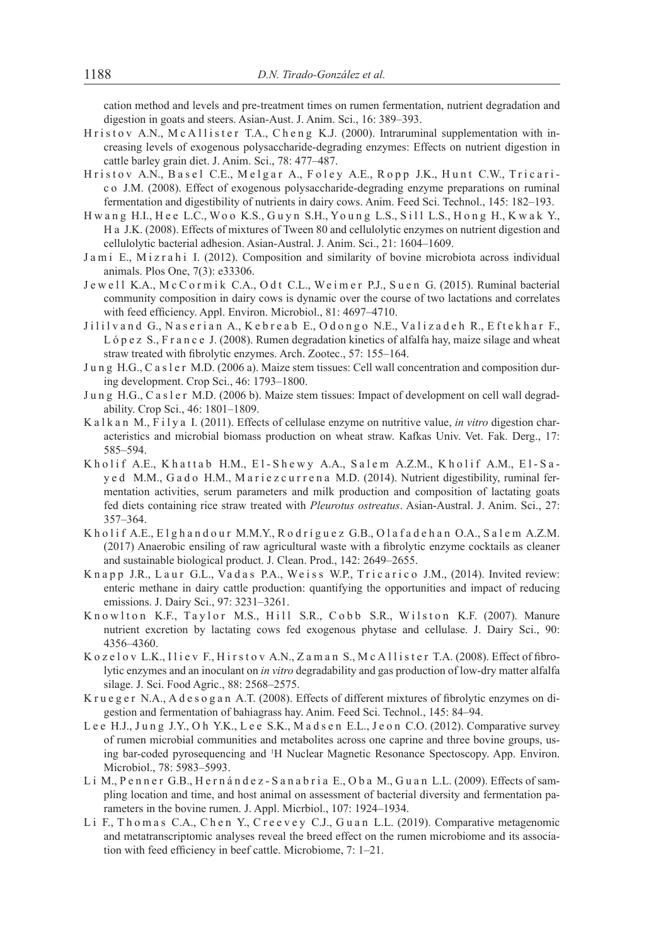cation method and levels and pre-treatment times on rumen fermentation, nutrient degradation and digestion in goats and steers. Asian-Aust. J. Anim. Sci., 16: 389–393.

- Hristov A.N., McAllister T.A., Cheng K.J. (2000). Intraruminal supplementation with increasing levels of exogenous polysaccharide-degrading enzymes: Effects on nutrient digestion in cattle barley grain diet. J. Anim. Sci., 78: 477–487.
- Hristov A.N., Basel C.E., Melgar A., Foley A.E., Ropp J.K., Hunt C.W., Tricaric o J.M. (2008). Effect of exogenous polysaccharide-degrading enzyme preparations on ruminal fermentation and digestibility of nutrients in dairy cows. Anim. Feed Sci. Technol., 145: 182–193.
- H w ang H.I., H e e L.C., Woo K.S., Guyn S.H., Young L.S., Sill L.S., H ong H., K wak Y., H a J.K. (2008). Effects of mixtures of Tween 80 and cellulolytic enzymes on nutrient digestion and cellulolytic bacterial adhesion. Asian-Austral. J. Anim. Sci., 21: 1604–1609.
- Jami E., Mizrahi I. (2012). Composition and similarity of bovine microbiota across individual animals. Plos One, 7(3): e33306.
- Jewell K.A., McCormik C.A., Odt C.L., Weimer P.J., Suen G. (2015). Ruminal bacterial community composition in dairy cows is dynamic over the course of two lactations and correlates with feed efficiency. Appl. Environ. Microbiol., 81: 4697–4710.
- Jililyand G., Naserian A., Kebreab E., Odongo N.E., Valizadeh R., Eftekhar F., L ó p e z S., F r a n c e J. (2008). Rumen degradation kinetics of alfalfa hay, maize silage and wheat straw treated with fibrolytic enzymes. Arch. Zootec., 57: 155–164.
- Jung H.G., C a s l e r M.D. (2006 a). Maize stem tissues: Cell wall concentration and composition during development. Crop Sci., 46: 1793–1800.
- Jung H.G., Casler M.D. (2006 b). Maize stem tissues: Impact of development on cell wall degradability. Crop Sci., 46: 1801–1809.
- K a l k a n M., F i l y a I. (2011). Effects of cellulase enzyme on nutritive value, *in vitro* digestion characteristics and microbial biomass production on wheat straw. Kafkas Univ. Vet. Fak. Derg., 17: 585–594.
- K holif A.E., K hattab H.M., El-Shewy A.A., Salem A.Z.M., K holif A.M., El-Say e d M.M., G a d o H.M., M a riez curren a M.D. (2014). Nutrient digestibility, ruminal fermentation activities, serum parameters and milk production and composition of lactating goats fed diets containing rice straw treated with *Pleurotus ostreatus*. Asian-Austral. J. Anim. Sci., 27: 357–364.
- K h o l i f A.E., E l g h a n d o u r M.M.Y., R o d r í gu e z G.B., O l a f a d e h a n O.A., S a l e m A.Z.M. (2017) Anaerobic ensiling of raw agricultural waste with a fibrolytic enzyme cocktails as cleaner and sustainable biological product. J. Clean. Prod., 142: 2649–2655.
- Knapp J.R., Laur G.L., Vadas P.A., Weiss W.P., Tricarico J.M., (2014). Invited review: enteric methane in dairy cattle production: quantifying the opportunities and impact of reducing emissions. J. Dairy Sci., 97: 3231–3261.
- Knowlton K.F., Taylor M.S., Hill S.R., Cobb S.R., Wilston K.F. (2007). Manure nutrient excretion by lactating cows fed exogenous phytase and cellulase. J. Dairy Sci., 90: 4356–4360.
- K o z e l o v L.K., I li e v F., H i r s t o v A.N., Z a m a n S., M c A l l i s t e r T.A. (2008). Effect of fibrolytic enzymes and an inoculant on *in vitro* degradability and gas production of low-dry matter alfalfa silage. J. Sci. Food Agric., 88: 2568–2575.
- K r u e g e r N.A., A d e s o g a n A.T. (2008). Effects of different mixtures of fibrolytic enzymes on digestion and fermentation of bahiagrass hay. Anim. Feed Sci. Technol., 145: 84–94.
- L e e H.J., Jung J.Y., Oh Y.K., L e e S.K., M a d s en E.L., J e on C.O. (2012). Comparative survey of rumen microbial communities and metabolites across one caprine and three bovine groups, using bar-coded pyrosequencing and 1 H Nuclear Magnetic Resonance Spectoscopy. App. Environ. Microbiol., 78: 5983–5993.
- Li M., Penner G.B., Hernández Sanabria E., Oba M., Guan L.L. (2009). Effects of sampling location and time, and host animal on assessment of bacterial diversity and fermentation parameters in the bovine rumen. J. Appl. Micrbiol., 107: 1924–1934.
- Li F., Thomas C.A., Chen Y., Creevey C.J., Guan L.L. (2019). Comparative metagenomic and metatranscriptomic analyses reveal the breed effect on the rumen microbiome and its association with feed efficiency in beef cattle. Microbiome, 7: 1–21.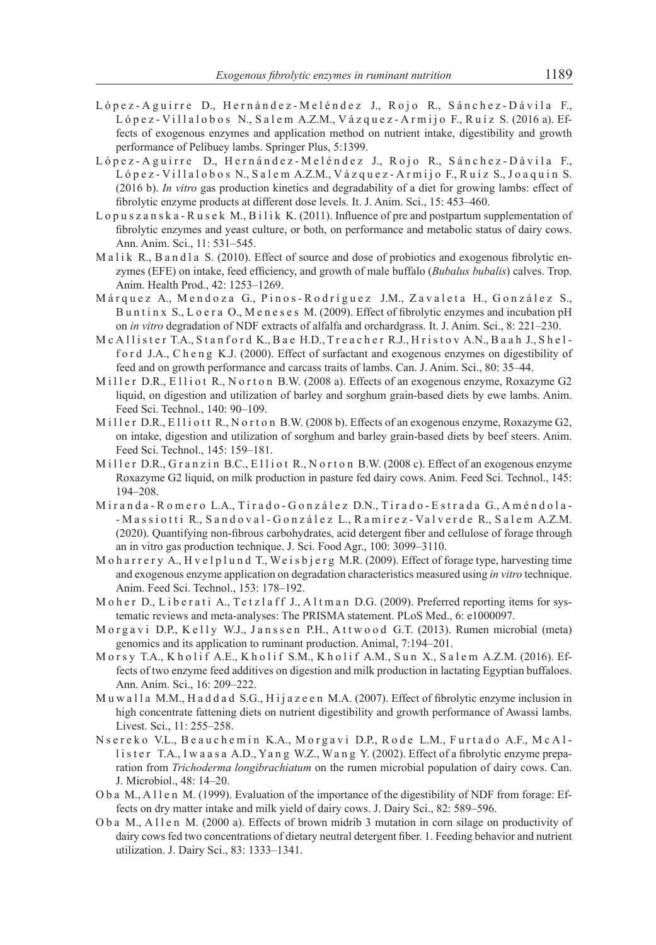- López-Aguirre D., Hernández-Meléndez J., Rojo R., Sánchez-Dávila F., L ó p e z - Villal o b o s N., S a l e m A.Z.M., V á z q u e z - A r m i j o F., R u í z S. (2016 a). Effects of exogenous enzymes and application method on nutrient intake, digestibility and growth performance of Pelibuey lambs. Springer Plus, 5:1399.
- López-Aguirre D., Hernández-Meléndez J., Rojo R., Sánchez-Dávila F., López - Villalobos N., Salem A.Z.M., Vázquez - Armijo F., Ruíz S., Joaquin S. (2016 b). *In vitro* gas production kinetics and degradability of a diet for growing lambs: effect of fibrolytic enzyme products at different dose levels. It. J. Anim. Sci., 15: 453–460.
- L o p u s z a n s k a R u s e k M., B i l i k K. (2011). Influence of pre and postpartum supplementation of fibrolytic enzymes and yeast culture, or both, on performance and metabolic status of dairy cows. Ann. Anim. Sci., 11: 531–545.
- Malik R., B and la S. (2010). Effect of source and dose of probiotics and exogenous fibrolytic enzymes (EFE) on intake, feed efficiency, and growth of male buffalo (*Bubalus bubalis*) calves. Trop. Anim. Health Prod., 42: 1253–1269.
- Márquez A., Mendoza G., Pinos-Rodríguez J.M., Zavaleta H., González S., Buntinx S., Loera O., Meneses M. (2009). Effect of fibrolytic enzymes and incubation pH on *in vitro* degradation of NDF extracts of alfalfa and orchardgrass. It. J. Anim. Sci., 8: 221–230.
- M c A l l i s t e r T.A., S t a n f o r d K., B a e H.D., T r e a c h e r R.J., H r i s t o v A.N., B a a h J., S h e l ford J.A., Cheng K.J. (2000). Effect of surfactant and exogenous enzymes on digestibility of feed and on growth performance and carcass traits of lambs. Can. J. Anim. Sci., 80: 35–44.
- Miller D.R., Elliot R., N orton B.W. (2008 a). Effects of an exogenous enzyme, Roxazyme G2 liquid, on digestion and utilization of barley and sorghum grain-based diets by ewe lambs. Anim. Feed Sci. Technol., 140: 90–109.
- Miller D.R., Elliott R., Norton B.W. (2008 b). Effects of an exogenous enzyme, Roxazyme G2, on intake, digestion and utilization of sorghum and barley grain-based diets by beef steers. Anim. Feed Sci. Technol., 145: 159–181.
- Miller D.R., Granzin B.C., Elliot R., Norton B.W. (2008 c). Effect of an exogenous enzyme Roxazyme G2 liquid, on milk production in pasture fed dairy cows. Anim. Feed Sci. Technol., 145: 194–208.
- M i r a n d a R o m e r o L.A., T i r a d o G o n z á l e z D.N., T i r a d o E s t r a d a G., A m é n d o l a -- Massiotti R., Sandoval-González L., Ramírez-Valverde R., Salem A.Z.M. (2020). Quantifying non-fibrous carbohydrates, acid detergent fiber and cellulose of forage through an in vitro gas production technique. J. Sci. Food Agr., 100: 3099–3110.
- M o h a r r e r y A., H v e l p l u n d T., W e i s b j e r g M.R. (2009). Effect of forage type, harvesting time and exogenous enzyme application on degradation characteristics measured using *in vitro* technique. Anim. Feed Sci. Technol., 153: 178–192.
- M o h e r D., L i b e r a t i A., T e t z l a f f J., A l t m a n D.G. (2009). Preferred reporting items for systematic reviews and meta-analyses: The PRISMA statement. PLoS Med., 6: e1000097.
- M o r g a v i D.P., K e lly W.J., J anssen P.H., A t two od G.T. (2013). Rumen microbial (meta) genomics and its application to ruminant production. Animal, 7:194–201.
- M orsy T.A., K h o l i f A.E., K h o l i f S.M., K h o l i f A.M., S u n X., S a l e m A.Z.M. (2016). Effects of two enzyme feed additives on digestion and milk production in lactating Egyptian buffaloes. Ann. Anim. Sci., 16: 209–222.
- M u w a l l a M.M., H a d d a d S.G., H i j a z e e n M.A. (2007). Effect of fibrolytic enzyme inclusion in high concentrate fattening diets on nutrient digestibility and growth performance of Awassi lambs. Livest. Sci., 11: 255–258.
- N s e r e k o V.L., B e a u c h e m in K.A., M o r g a v i D.P., R o d e L.M., Furtado A.F., M c A l lister T.A., I w a a s a A.D., Y a n g W.Z., W a n g Y. (2002). Effect of a fibrolytic enzyme preparation from *Trichoderma longibrachiatum* on the rumen microbial population of dairy cows. Can. J. Microbiol., 48: 14–20.
- O b a M., A l l e n M. (1999). Evaluation of the importance of the digestibility of NDF from forage: Effects on dry matter intake and milk yield of dairy cows. J. Dairy Sci., 82: 589–596.
- O b a M., A l l e n M. (2000 a). Effects of brown midrib 3 mutation in corn silage on productivity of dairy cows fed two concentrations of dietary neutral detergent fiber. 1. Feeding behavior and nutrient utilization. J. Dairy Sci., 83: 1333–1341.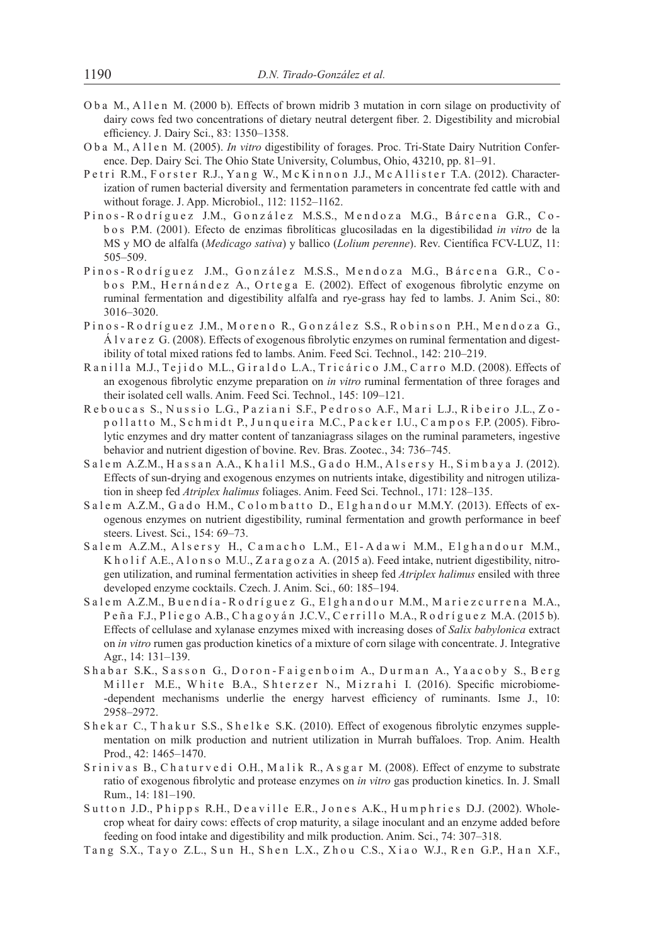- O b a M., A l l e n M. (2000 b). Effects of brown midrib 3 mutation in corn silage on productivity of dairy cows fed two concentrations of dietary neutral detergent fiber. 2. Digestibility and microbial efficiency. J. Dairy Sci., 83: 1350–1358.
- O b a M., A l l e n M. (2005). *In vitro* digestibility of forages. Proc. Tri-State Dairy Nutrition Conference. Dep. Dairy Sci. The Ohio State University, Columbus, Ohio, 43210, pp. 81–91.
- Petri R.M., Forster R.J., Yang W., McKinnon J.J., McAllister T.A. (2012). Characterization of rumen bacterial diversity and fermentation parameters in concentrate fed cattle with and without forage. J. App. Microbiol., 112: 1152–1162.
- Pinos-Rodríguez J.M., González M.S.S., Mendoza M.G., Bárcena G.R., Cob o s P.M. (2001). Efecto de enzimas fibrolíticas glucosiladas en la digestibilidad *in vitro* de la MS y MO de alfalfa (*Medicago sativa*) y ballico (*Lolium perenne*). Rev. Científica FCV-LUZ, 11: 505–509.
- Pinos-Rodríguez J.M., González M.S.S., Mendoza M.G., Bárcena G.R., Cob o s P.M., H e r n á n d e z A., O r t e g a E. (2002). Effect of exogenous fibrolytic enzyme on ruminal fermentation and digestibility alfalfa and rye-grass hay fed to lambs. J. Anim Sci., 80: 3016–3020.
- Pinos-Rodríguez J.M., Moreno R., González S.S., Robinson P.H., Mendoza G., Á l v a r e z G. (2008). Effects of exogenous fibrolytic enzymes on ruminal fermentation and digestibility of total mixed rations fed to lambs. Anim. Feed Sci. Technol., 142: 210–219.
- Ranilla M.J., Tejido M.L., Giraldo L.A., Tricárico J.M., Carro M.D. (2008). Effects of an exogenous fibrolytic enzyme preparation on *in vitro* ruminal fermentation of three forages and their isolated cell walls. Anim. Feed Sci. Technol., 145: 109–121.
- Reboucas S., Nussio L.G., Paziani S.F., Pedroso A.F., Mari L.J., Ribeiro J.L., Zopollatto M., Schmidt P., Junqueira M.C., Packer I.U., Campos F.P. (2005). Fibrolytic enzymes and dry matter content of tanzaniagrass silages on the ruminal parameters, ingestive behavior and nutrient digestion of bovine. Rev. Bras. Zootec., 34: 736–745.
- Salem A.Z.M., Hassan A.A., Khalil M.S., Gado H.M., Alsersy H., Simbaya J. (2012). Effects of sun-drying and exogenous enzymes on nutrients intake, digestibility and nitrogen utilization in sheep fed *Atriplex halimus* foliages. Anim. Feed Sci. Technol., 171: 128–135.
- Salem A.Z.M., Gado H.M., Colombatto D., Elghandour M.M.Y. (2013). Effects of exogenous enzymes on nutrient digestibility, ruminal fermentation and growth performance in beef steers. Livest. Sci., 154: 69–73.
- Salem A.Z.M., Alsersy H., Camacho L.M., El-Adawi M.M., Elghandour M.M., K h o l i f A.E., A l o n s o M.U., Z a r a g o z a A. (2015 a). Feed intake, nutrient digestibility, nitrogen utilization, and ruminal fermentation activities in sheep fed *Atriplex halimus* ensiled with three developed enzyme cocktails. Czech. J. Anim. Sci., 60: 185–194.
- Salem A.Z.M., Buendía-Rodríguez G., Elghandour M.M., Mariezcurrena M.A., Peña F.J., Pliego A.B., Chagoyán J.C.V., Cerrillo M.A., Rodríguez M.A. (2015 b). Effects of cellulase and xylanase enzymes mixed with increasing doses of *Salix babylonica* extract on *in vitro* rumen gas production kinetics of a mixture of corn silage with concentrate. J. Integrative Agr., 14: 131–139.
- Shabar S.K., Sasson G., Doron-Faigenboim A., Durman A., Yaacoby S., Berg Miller M.E., White B.A., Shterzer N., Mizrahi I. (2016). Specific microbiome--dependent mechanisms underlie the energy harvest efficiency of ruminants. Isme J., 10: 2958–2972.
- Sh e k a r C., Th a k u r S.S., Sh e l k e S.K. (2010). Effect of exogenous fibrolytic enzymes supplementation on milk production and nutrient utilization in Murrah buffaloes. Trop. Anim. Health Prod., 42: 1465–1470.
- S r i n i v a s B., C h a t u r v e d i O.H., M a l i k R., A s g a r M. (2008). Effect of enzyme to substrate ratio of exogenous fibrolytic and protease enzymes on *in vitro* gas production kinetics. In. J. Small Rum., 14: 181–190.
- Sutton J.D., Phipps R.H., Deaville E.R., Jones A.K., Humphries D.J. (2002). Wholecrop wheat for dairy cows: effects of crop maturity, a silage inoculant and an enzyme added before feeding on food intake and digestibility and milk production. Anim. Sci., 74: 307–318.
- Tang S.X., Tayo Z.L., Sun H., Shen L.X., Zhou C.S., Xiao W.J., Ren G.P., Han X.F.,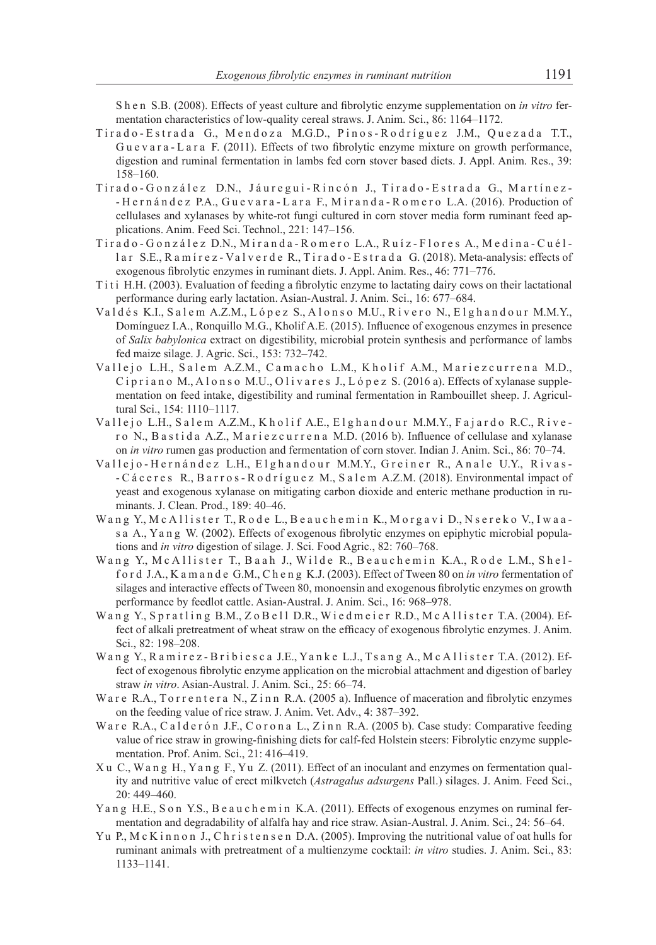S h e n S.B. (2008). Effects of yeast culture and fibrolytic enzyme supplementation on *in vitro* fermentation characteristics of low-quality cereal straws. J. Anim. Sci., 86: 1164–1172.

- Tirado-Estrada G., Mendoza M.G.D., Pinos-Rodríguez J.M., Quezada T.T., Gue v a r a - L a r a F. (2011). Effects of two fibrolytic enzyme mixture on growth performance, digestion and ruminal fermentation in lambs fed corn stover based diets. J. Appl. Anim. Res., 39: 158–160.
- Tirado-González D.N., Jáuregui-Rincón J., Tirado-Estrada G., Martínez-- Hernández P.A., Guevara - Lara F., Miranda - Romero L.A. (2016). Production of cellulases and xylanases by white-rot fungi cultured in corn stover media form ruminant feed applications. Anim. Feed Sci. Technol., 221: 147–156.
- Tirado González D.N., Miranda Romero L.A., Ruíz Flores A., Medina Cuéllar S.E., R a m í r e z - Va l v e r d e R., T i r a d o - E s t r a d a G. (2018). Meta-analysis: effects of exogenous fibrolytic enzymes in ruminant diets. J. Appl. Anim. Res., 46: 771–776.
- T<sub>iti</sub> H.H. (2003). Evaluation of feeding a fibrolytic enzyme to lactating dairy cows on their lactational performance during early lactation. Asian-Austral. J. Anim. Sci., 16: 677–684.
- Valdés K.I., Salem A.Z.M., López S., Alonso M.U., Rivero N., Elghandour M.M.Y., Domínguez I.A., Ronquillo M.G., Kholif A.E. (2015). Influence of exogenous enzymes in presence of *Salix babylonica* extract on digestibility, microbial protein synthesis and performance of lambs fed maize silage. J. Agric. Sci., 153: 732–742.
- Vallejo L.H., Salem A.Z.M., Camacho L.M., Kholif A.M., Mariezcurrena M.D., C i p r i a n o M., A l o n s o M.U., O l i v a r e s J., L ó p e z S. (2016 a). Effects of xylanase supplementation on feed intake, digestibility and ruminal fermentation in Rambouillet sheep. J. Agricultural Sci., 154: 1110–1117.
- Vallejo L.H., Salem A.Z.M., Kholif A.E., Elghandour M.M.Y., Fajardo R.C., Rivero N., B a s t i d a A.Z., M a r i e z c u r r e n a M.D. (2016 b). Influence of cellulase and xylanase on *in vitro* rumen gas production and fermentation of corn stover. Indian J. Anim. Sci., 86: 70–74.
- Vallejo-Hernández L.H., Elghandour M.M.Y., Greiner R., Anale U.Y., Rivas-- C á c e r e s R., B a r r o s - R o d r í g u e z M., S a l e m A.Z.M. (2018). Environmental impact of yeast and exogenous xylanase on mitigating carbon dioxide and enteric methane production in ruminants. J. Clean. Prod., 189: 40–46.
- Wang Y., McAllister T., Rode L., Beauchemin K., Morgavi D., Nsereko V., Iwaas a A., Y a n g W. (2002). Effects of exogenous fibrolytic enzymes on epiphytic microbial populations and *in vitro* digestion of silage. J. Sci. Food Agric., 82: 760–768.
- Wang Y., McAllister T., Baah J., Wilde R., Beauchemin K.A., Rode L.M., Shelf o r d J.A., K a m a n d e G.M., C h e n g K.J. (2003). Effect of Tween 80 on *in vitro* fermentation of silages and interactive effects of Tween 80, monoensin and exogenous fibrolytic enzymes on growth performance by feedlot cattle. Asian-Austral. J. Anim. Sci., 16: 968–978.
- Wang Y., Spratling B.M., ZoBell D.R., Wiedmeier R.D., McAllister T.A. (2004). Effect of alkali pretreatment of wheat straw on the efficacy of exogenous fibrolytic enzymes. J. Anim. Sci., 82: 198–208.
- Wang Y., Ramirez-Bribiesca J.E., Yanke L.J., Tsang A., McAllister T.A. (2012). Effect of exogenous fibrolytic enzyme application on the microbial attachment and digestion of barley straw *in vitro*. Asian-Austral. J. Anim. Sci., 25: 66–74.
- Ware R.A., Torrentera N., Zinn R.A. (2005 a). Influence of maceration and fibrolytic enzymes on the feeding value of rice straw. J. Anim. Vet. Adv., 4: 387–392.
- Ware R.A., Calder on J.F., Corona L., Zinn R.A. (2005 b). Case study: Comparative feeding value of rice straw in growing-finishing diets for calf-fed Holstein steers: Fibrolytic enzyme supplementation. Prof. Anim. Sci., 21: 416–419.
- X u C., Wa n g H., Ya n g F., Yu Z. (2011). Effect of an inoculant and enzymes on fermentation quality and nutritive value of erect milkvetch (*Astragalus adsurgens* Pall.) silages. J. Anim. Feed Sci., 20: 449–460.
- Yang H.E., S on Y.S., B e au c h e m in K.A. (2011). Effects of exogenous enzymes on ruminal fermentation and degradability of alfalfa hay and rice straw. Asian-Austral. J. Anim. Sci., 24: 56–64.
- Yu P., M c K in n on J., C h r i s t e n s e n D.A. (2005). Improving the nutritional value of oat hulls for ruminant animals with pretreatment of a multienzyme cocktail: *in vitro* studies. J. Anim. Sci., 83: 1133–1141.